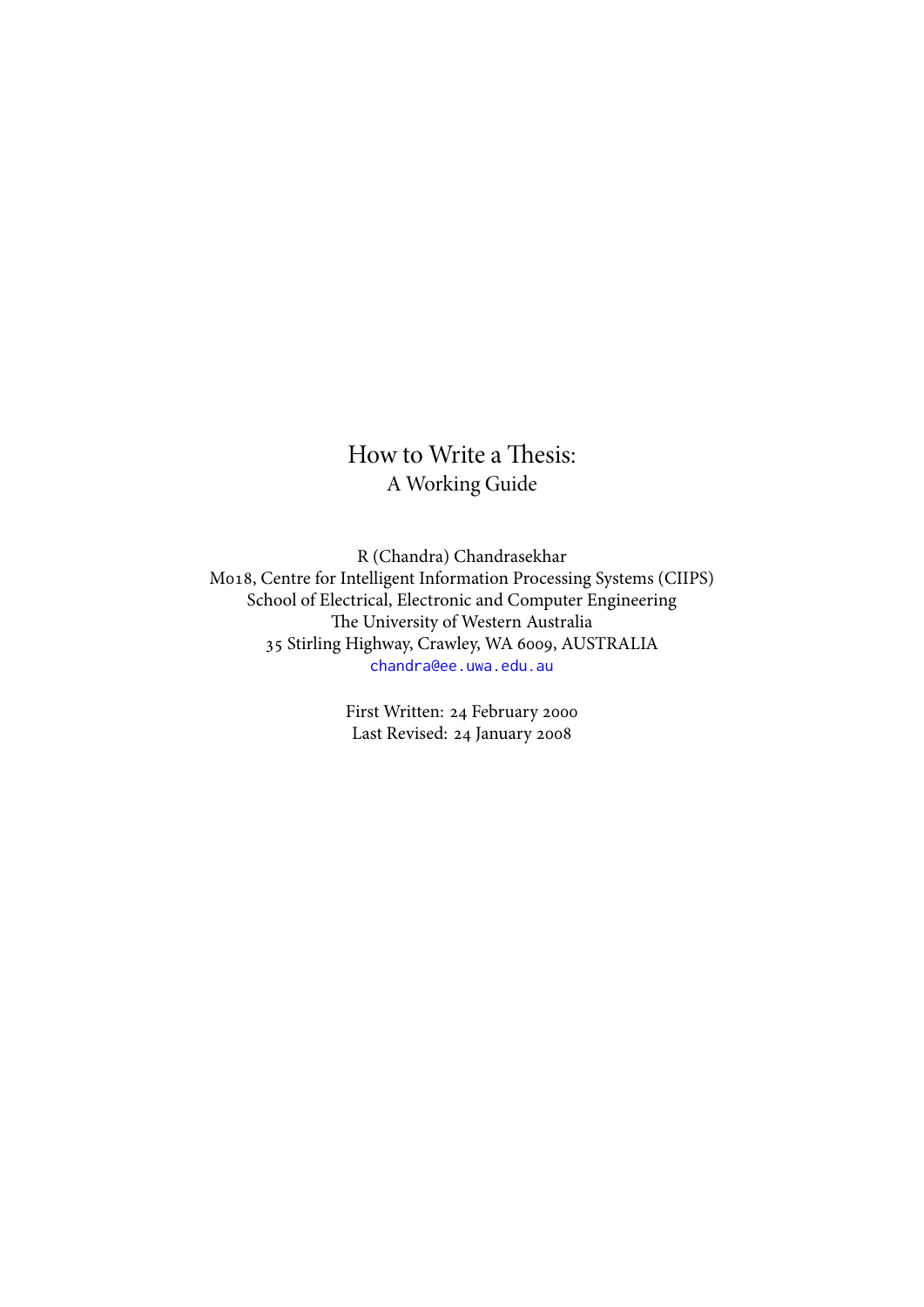# How to Write a Thesis: A Working Guide

R (Chandra) Chandrasekhar M018, Centre for Intelligent Information Processing Systems (CIIPS) School of Electrical, Electronic and Computer Engineering The University of Western Australia 35 Stirling Highway, Crawley, WA 6009, AUSTRALIA chandra@ee.uwa.edu.au

> First Written: 24 February 2000 Last Revised: 24 January 2008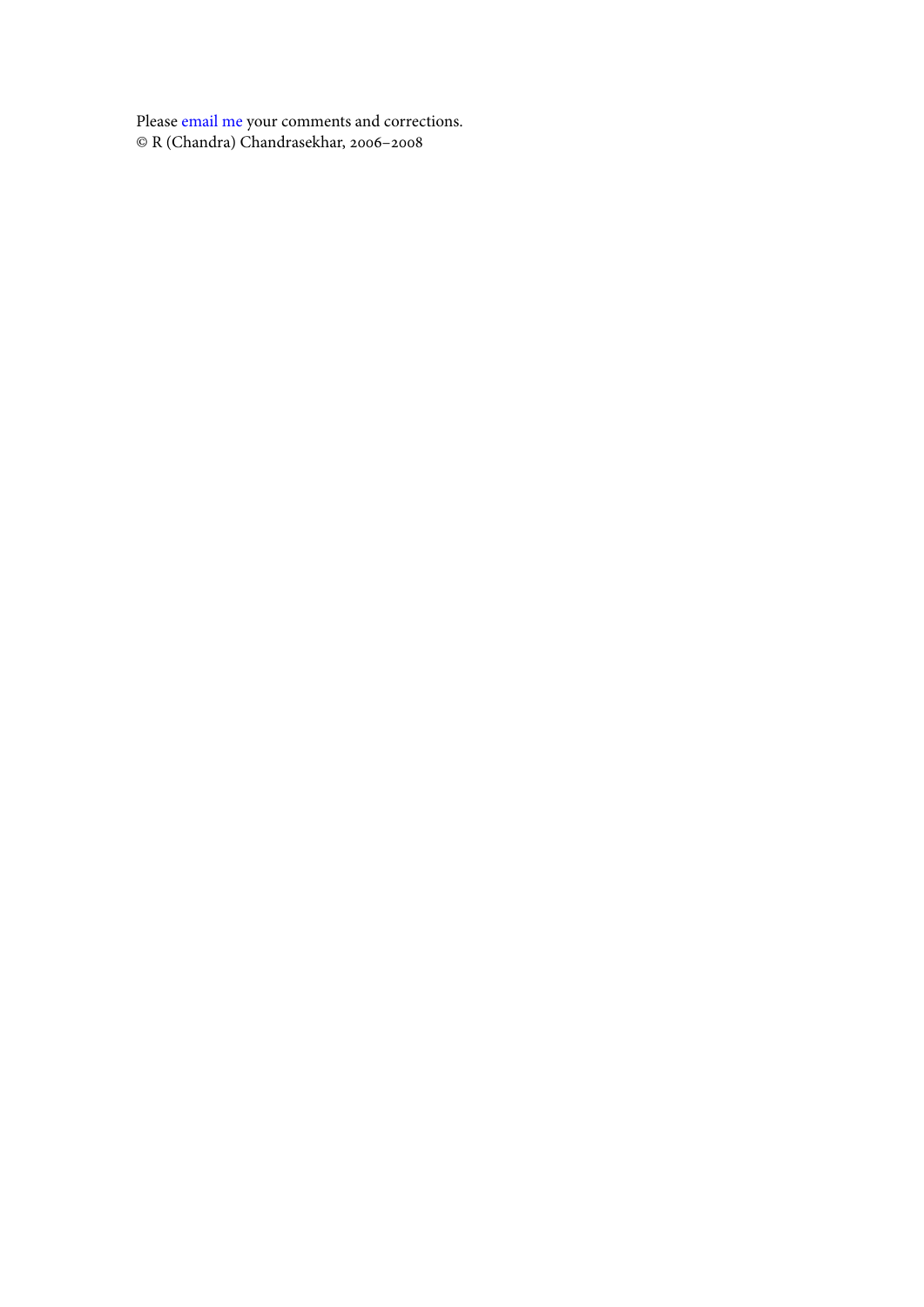Please email me your comments and corrections.  $\circledR$  (Chandra) Chandrasekhar, 2006-2008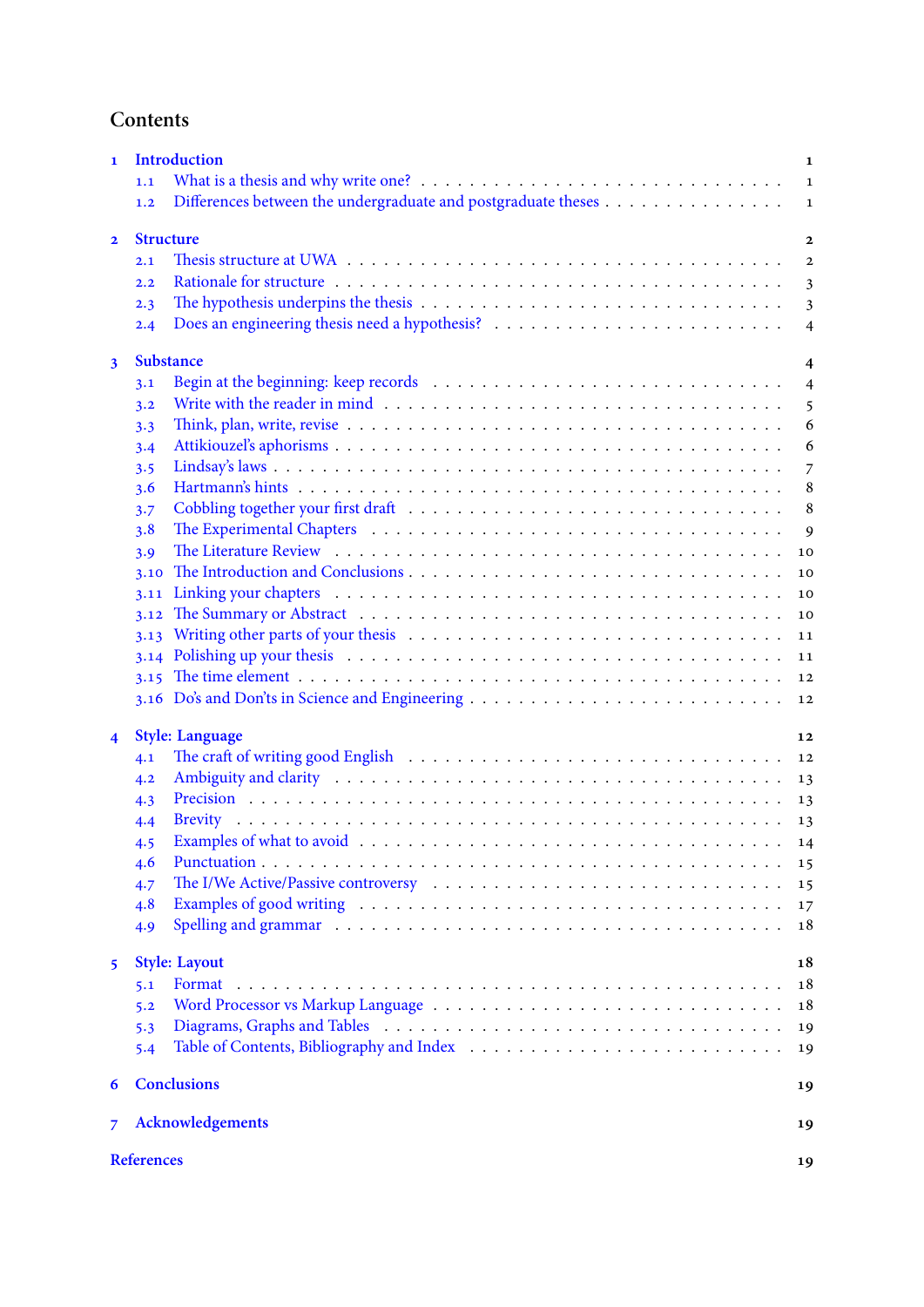# **Contents**

| $\mathbf{1}$            | <b>Introduction</b><br>$\mathbf{1}$                                                                                                |                         |  |  |
|-------------------------|------------------------------------------------------------------------------------------------------------------------------------|-------------------------|--|--|
|                         | 1.1                                                                                                                                | $\mathbf{1}$            |  |  |
|                         | Differences between the undergraduate and postgraduate theses<br>1.2                                                               | $\mathbf{1}$            |  |  |
|                         |                                                                                                                                    |                         |  |  |
| $\overline{2}$          | <b>Structure</b>                                                                                                                   | $\mathbf{2}$            |  |  |
|                         | 2.1                                                                                                                                | $\overline{2}$          |  |  |
|                         | 2.2                                                                                                                                | $\mathfrak{Z}$          |  |  |
|                         | 2.3                                                                                                                                | 3                       |  |  |
|                         | 2.4                                                                                                                                | $\overline{4}$          |  |  |
| $\overline{\mathbf{3}}$ | Substance                                                                                                                          | $\overline{\mathbf{4}}$ |  |  |
|                         | 3.1                                                                                                                                | $\overline{4}$          |  |  |
|                         | Write with the reader in mind $\ldots \ldots \ldots \ldots \ldots \ldots \ldots \ldots \ldots \ldots \ldots \ldots$<br>3.2         | 5                       |  |  |
|                         | Think, plan, write, revise $\dots \dots \dots \dots \dots \dots \dots \dots \dots \dots \dots \dots \dots \dots \dots \dots \dots$ | 6                       |  |  |
|                         | 3.3                                                                                                                                | 6                       |  |  |
|                         | 3.4                                                                                                                                |                         |  |  |
|                         | 3.5                                                                                                                                | 7                       |  |  |
|                         | 3.6                                                                                                                                | 8                       |  |  |
|                         | 3.7                                                                                                                                | 8                       |  |  |
|                         | The Experimental Chapters (and all contracts of the experimental Chapters (and all contracts of the experimental chapters)<br>3.8  | 9                       |  |  |
|                         | 3.9                                                                                                                                | 10                      |  |  |
|                         | 3.10                                                                                                                               | 10                      |  |  |
|                         | 3.11                                                                                                                               | 10                      |  |  |
|                         | 3.12                                                                                                                               | 10                      |  |  |
|                         | 3.13                                                                                                                               | 11                      |  |  |
|                         | 3.14                                                                                                                               | 11                      |  |  |
|                         | 3.15                                                                                                                               | 12                      |  |  |
|                         |                                                                                                                                    | 12                      |  |  |
|                         |                                                                                                                                    |                         |  |  |
| $\overline{\mathbf{4}}$ | <b>Style: Language</b>                                                                                                             | 12                      |  |  |
|                         | 4.1                                                                                                                                | 12                      |  |  |
|                         | 4.2                                                                                                                                | 13                      |  |  |
|                         | 4.3                                                                                                                                | 13                      |  |  |
|                         | 4.4                                                                                                                                | 13                      |  |  |
|                         | 4.5                                                                                                                                | 14                      |  |  |
|                         | 4.6                                                                                                                                | 15                      |  |  |
|                         | 4.7                                                                                                                                | 15                      |  |  |
|                         | 4.8                                                                                                                                | 17                      |  |  |
|                         | 4.9                                                                                                                                | 18                      |  |  |
|                         |                                                                                                                                    |                         |  |  |
| 5                       | <b>Style: Layout</b>                                                                                                               | 18                      |  |  |
|                         | 5.1                                                                                                                                | 18                      |  |  |
|                         | 5.2                                                                                                                                | 18                      |  |  |
|                         | 5.3                                                                                                                                | 19                      |  |  |
|                         | 5.4                                                                                                                                | 19                      |  |  |
| 6                       | <b>Conclusions</b><br>19                                                                                                           |                         |  |  |
|                         | Acknowledgements<br>19                                                                                                             |                         |  |  |
|                         | <b>References</b>                                                                                                                  | 19                      |  |  |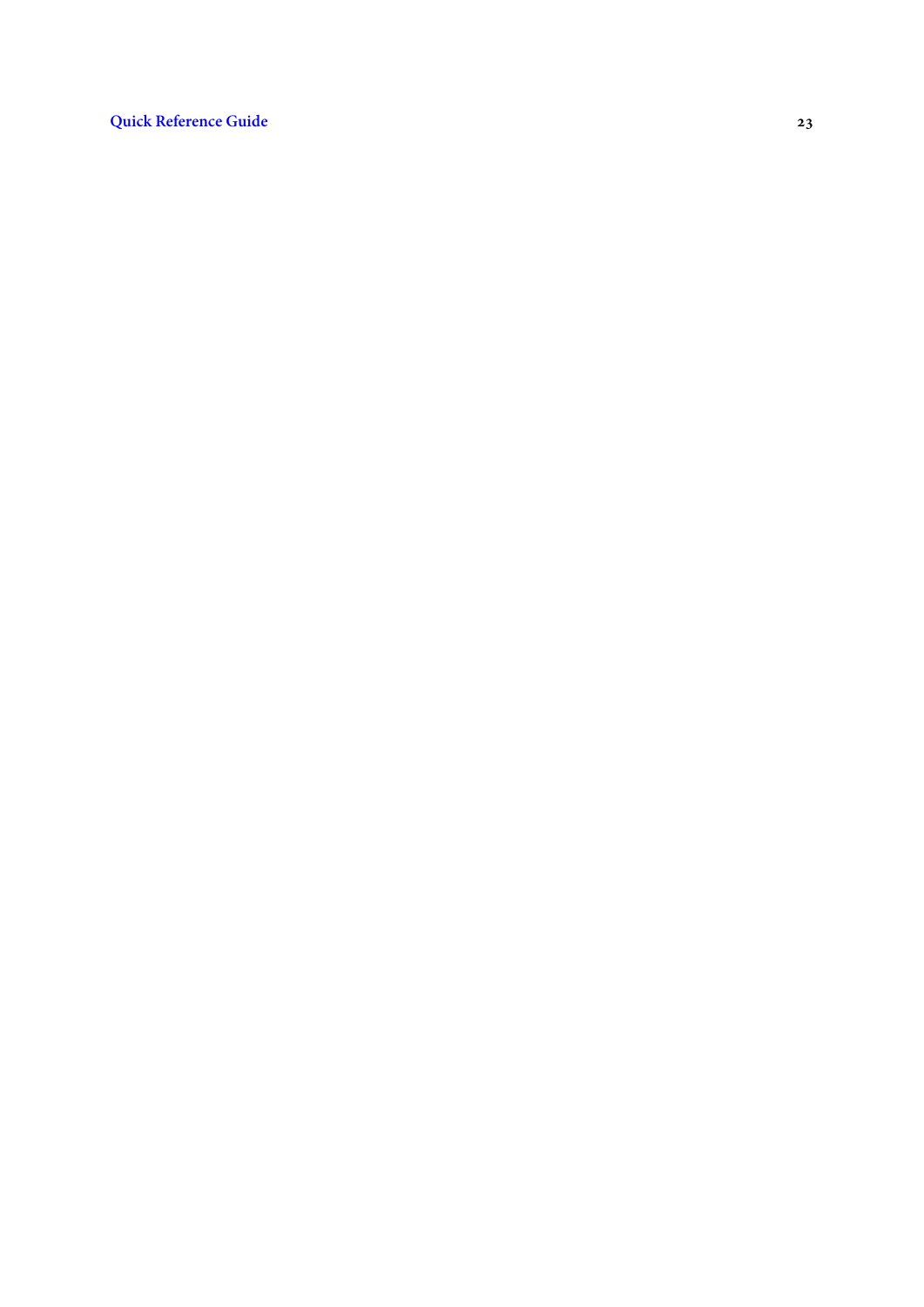**Quick Reference Guide**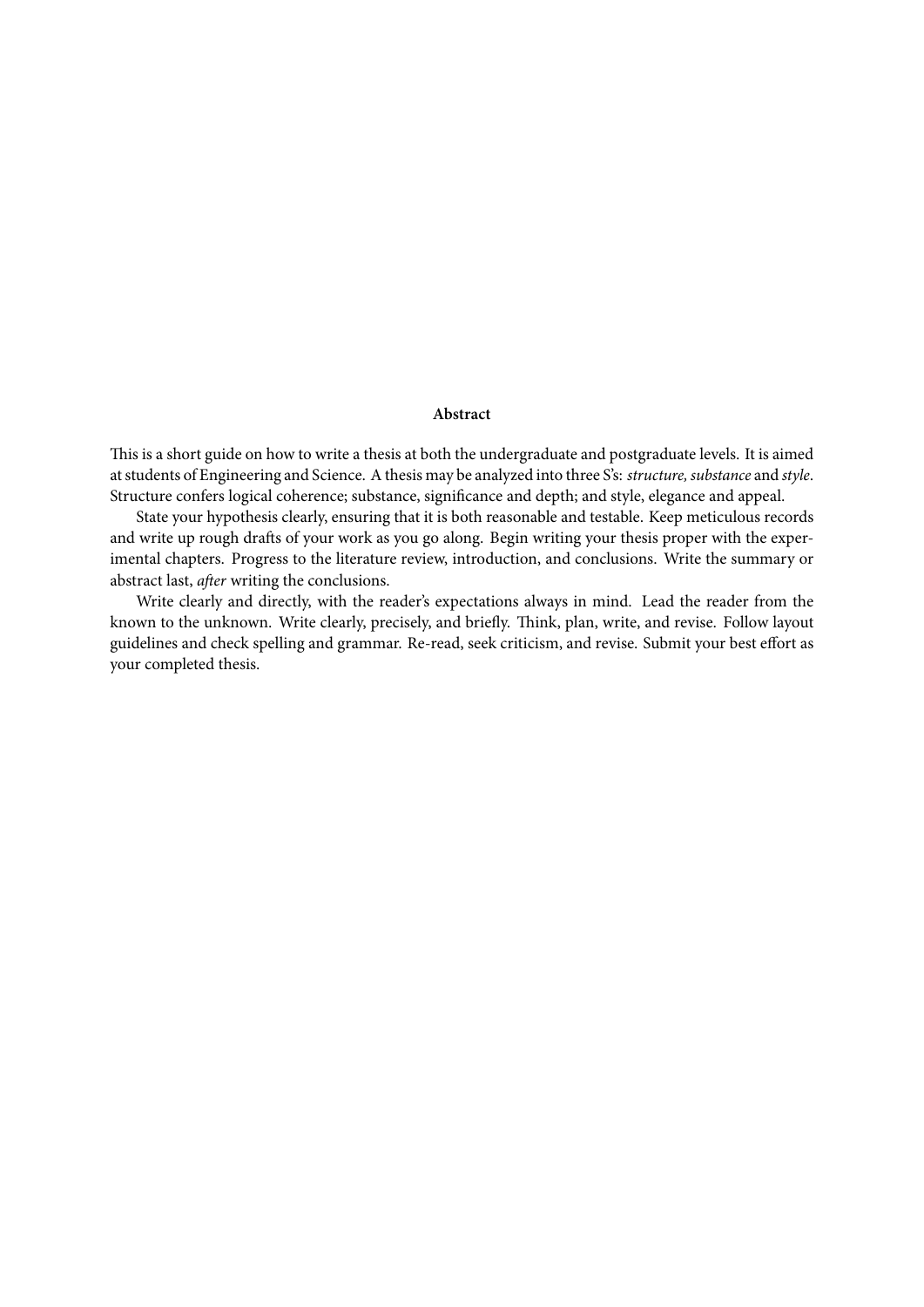#### **Abstract**

This is a short guide on how to write a thesis at both the undergraduate and postgraduate levels. It is aimed at students of Engineering and Science. A thesis may be analyzed into three S's: *structure, substance* and *style*. Structure confers logical coherence; substance, significance and depth; and style, elegance and appeal.

State your hypothesis clearly, ensuring that it is both reasonable and testable. Keep meticulous records and write up rough drafts of your work as you go along. Begin writing your thesis proper with the experimental chapters. Progress to the literature review, introduction, and conclusions. Write the summary or abstract last, *after* writing the conclusions.

Write clearly and directly, with the reader's expectations always in mind. Lead the reader from the known to the unknown. Write clearly, precisely, and briefly. Think, plan, write, and revise. Follow layout guidelines and check spelling and grammar. Re-read, seek criticism, and revise. Submit your best effort as your completed thesis.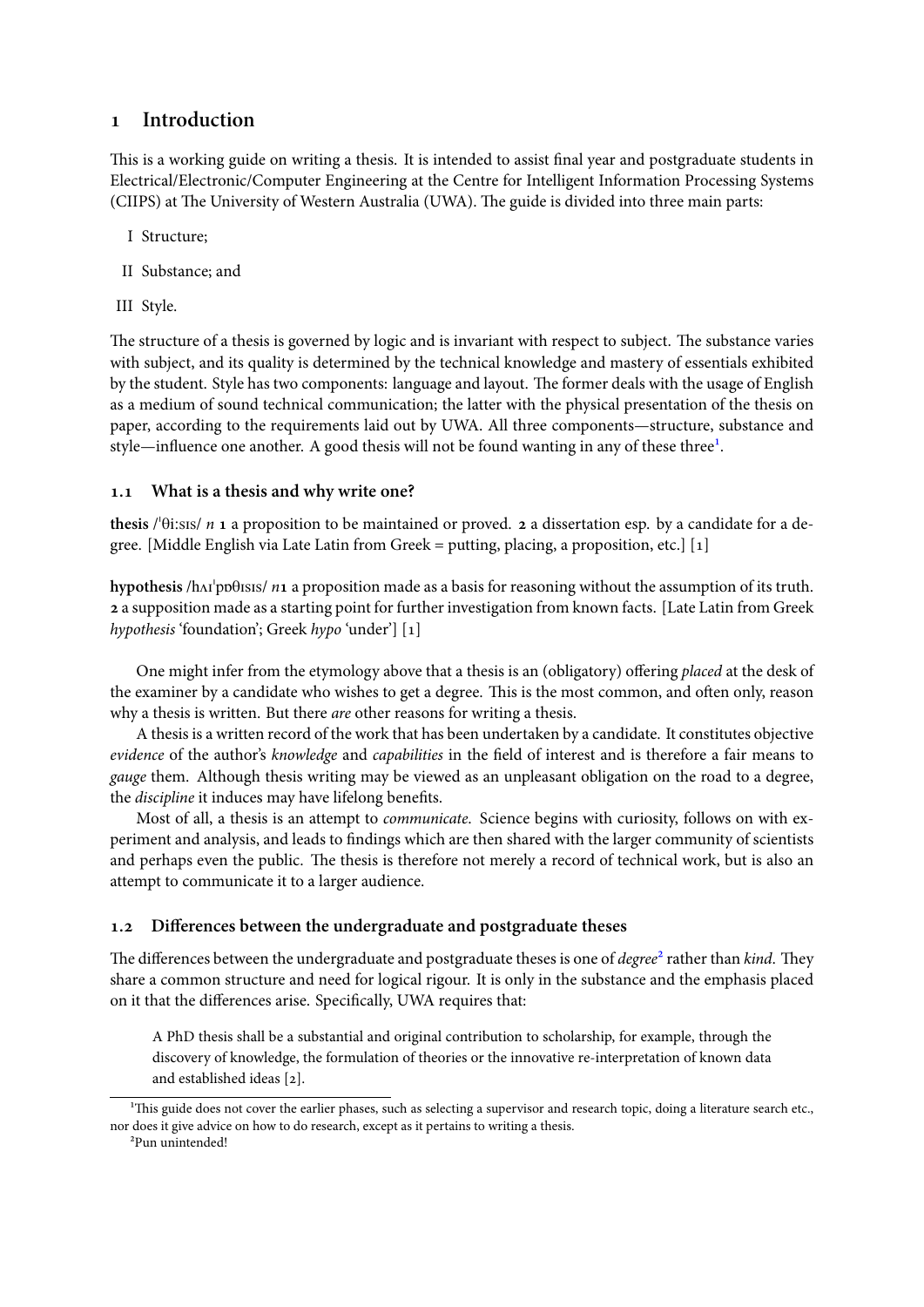## **Introduction**

<span id="page-5-0"></span>This is a working guide on writing a thesis. It is intended to assist final year and postgraduate students in Electrical/Electronic/Computer Engineering at the Centre for Intelligent Information Processing Systems (CIIPS) at The University of Western Australia (UWA). The guide is divided into three main parts:

- I Structure;
- II Substance; and
- III Style.

The structure of a thesis is governed by logic and is invariant with respect to subject. The substance varies with subject, and its quality is determined by the technical knowledge and mastery of essentials exhibited by the student. Style has two components: language and layout. The former deals with the usage of English as a medium of sound technical communication; the latter with the physical presentation of the thesis on paper, according to the requirements laid out by UWA. All three components—structure, substance and style—influence one another. A good thesis will not be found wanting in any of these three $l$ .

## **. What is a thesis and why write one?**

**thesis** / $\theta$ i:sis/ *n* 1 a proposition to be maintained or proved. 2 a [di](#page-5-3)ssertation esp. by a candidate for a degree. [Middle English via Late Latin from Greek = putting, placing, a proposition, etc.] [1]

<span id="page-5-1"></span>**hypothesis** /hʌɪˈpɒθɪsɪs/ *n* a proposition made as a basis for reasoning without the assumption of its truth. a supposition made as a starting point for further investigation from known facts. [Late Latin from Greek *hypothesis* 'foundation'; Greek *hypo* 'under'] [1]

One might infer from the etymology above that a thesis is an (obligatory) offering *placed* at the desk of the examiner by a candidate who wishes to get a degree. This is the most common, and often only, reason why a thesis is written. But there *are* other reasons for writing a thesis.

A thesis is a written record of the work that has been undertaken by a candidate. It constitutes objective *evidence* of the author's *knowledge* and *capabilities* in the field of interest and is therefore a fair means to *gauge* them. Although thesis writing may be viewed as an unpleasant obligation on the road to a degree, the *discipline* it induces may have lifelong benefits.

Most of all, a thesis is an attempt to *communicate*. Science begins with curiosity, follows on with experiment and analysis, and leads to findings which are then shared with the larger community of scientists and perhaps even the public. The thesis is therefore not merely a record of technical work, but is also an attempt to communicate it to a larger audience.

## **. Differences between the undergraduate and postgraduate theses**

<span id="page-5-2"></span>The differences between the undergraduate and postgraduate theses is one of *degree*<sup>2</sup> rather than *kind*. They share a common structure and need for logical rigour. It is only in the substance and the emphasis placed on it that the differences arise. Specifically, UWA requires that:

A PhD thesis shall be a substantial and original contribution to scholarship, for ex[am](#page-5-4)ple, through the discovery of knowledge, the formulation of theories or the innovative re-interpretation of known data and established ideas [2].

<sup>&</sup>lt;sup>1</sup>This guide does not cover the earlier phases, such as selecting a supervisor and research topic, doing a literature search etc., nor does it give advice on how to do research, except as it pertains to writing a thesis.

<span id="page-5-4"></span><span id="page-5-3"></span>²Pun unintended!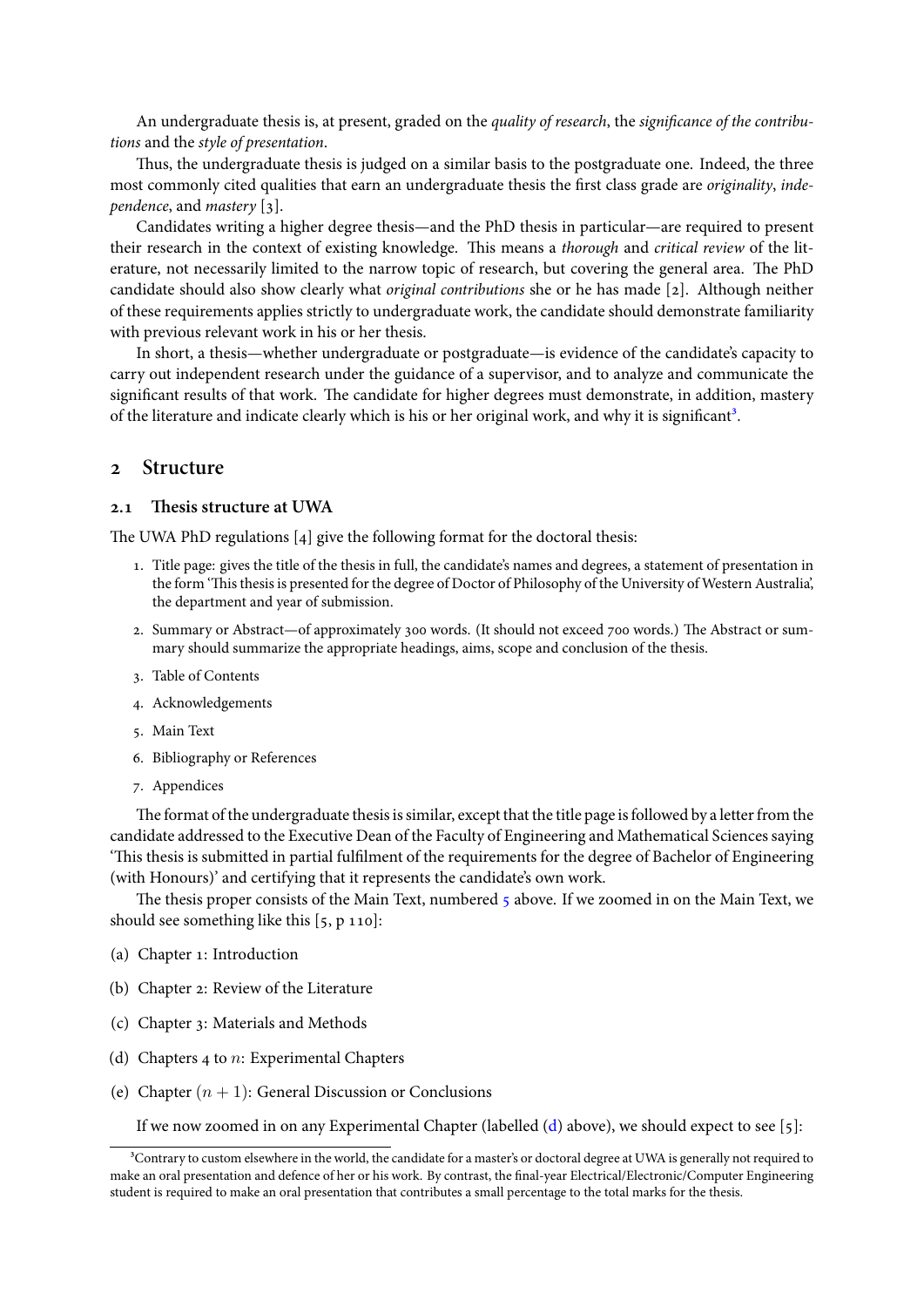An undergraduate thesis is, at present, graded on the *quality of research*, the *significance of the contributions* and the *style of presentation*.

Thus, the undergraduate thesis is judged on a similar basis to the postgraduate one. Indeed, the three most commonly cited qualities that earn an undergraduate thesis the first class grade are *originality*, *independence*, and *mastery* [3].

Candidates writing a higher degree thesis—and the PhD thesis in particular—are required to present their research in the context of existing knowledge. This means a *thorough* and *critical review* of the literature, not necessarily limited to the narrow topic of research, but covering the general area. The PhD candidate should also show clearly what *original contributions* she or he has made [2]. Although neither of these requirements applies strictly to undergraduate work, the candidate should demonstrate familiarity with previous relevant work in his or her thesis.

In short, a thesis—whether undergraduate or postgraduate—is evidence of the candidate's capacity to carry out independent research under the guidance of a supervisor, and to analyze and communicate the significant results of that work. The candidate for higher degrees must demonstrate, in addition, mastery of the literature and indicate clearly which is his or her original work, and why it is significant<sup>3</sup>.

#### **Structure**

#### **2.1** Thesis structure at UWA

<span id="page-6-0"></span>The UWA PhD regulations  $[4]$  give the following format for the doctoral thesis:

- <span id="page-6-1"></span>. Title page: gives the title of the thesis in full, the candidate's names and degrees, a statement of presentation in the form 'This thesis is presented for the degree of Doctor of Philosophy of the University of Western Australia', the department and year of submission.
- 2. Summary or Abstract—of approximately 300 words. (It should not exceed 700 words.) The Abstract or summary should summarize the appropriate headings, aims, scope and conclusion of the thesis.
- . Table of Contents
- . Acknowledgements
- . Main Text
- . Bibliography or References
- . Appendices

The format of the undergraduate thesis is similar, except that the title page is followed by a letter from the candidate addressed to the Executive Dean of the Faculty of Engineering and Mathematical Sciences saying 'This thesis is submitted in partial fulfilment of the requirements for the degree of Bachelor of Engineering (with Honours)' and certifying that it represents the candidate's own work.

The thesis proper consists of the Main Text, numbered  $5$  above. If we zoomed in on the Main Text, we should see something like this  $[5, p 110]$ :

(a) Chapter 1: Introduction

(b) Chapter 2: Review of the Literature

- (c) Chapter 3: Materials and Methods
- (d) Chapters 4 to *n*: Experimental Chapters
- (e) Chapter  $(n + 1)$ : General Discussion or Conclusions

<span id="page-6-2"></span>If we now zoomed in on any Experimental Chapter (labelled  $(d)$  above), we should expect to see [5]:

³Contrary to custom elsewhere in the world, the candidate for a master's or doctoral degree at UWA is generally not required to make an oral presentation and defence of her or his work. By contrast, the final-year Electrical/Electronic/Computer Engineering student is required to make an oral presentation that contributes a small percen[tag](#page-6-2)e to the total marks for the thesis.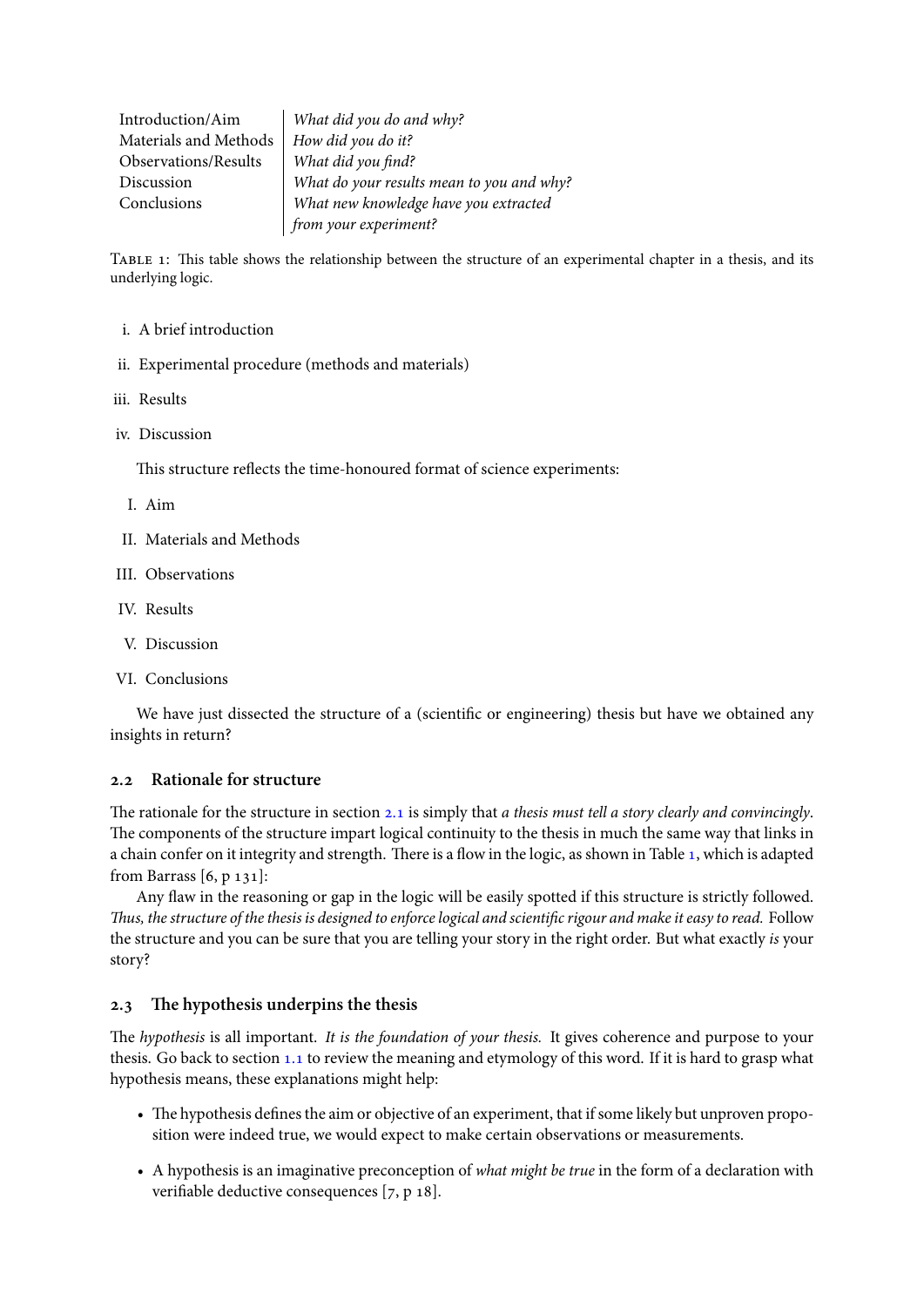| Introduction/Aim      | What did you do and why?                  |
|-----------------------|-------------------------------------------|
| Materials and Methods | How did you do it?                        |
| Observations/Results  | What did you find?                        |
| Discussion            | What do your results mean to you and why? |
| Conclusions           | What new knowledge have you extracted     |
|                       | from your experiment?                     |

TABLE 1: This table shows the relationship between the structure of an experimental chapter in a thesis, and its underlying logic.

- <span id="page-7-3"></span>i. A brief introduction
- ii. Experimental procedure (methods and materials)
- <span id="page-7-4"></span>iii. Results
- iv. Discussion

This structure reflects the time-honoured format of science experiments:

- <span id="page-7-5"></span>I. Aim
- II. Materials and Methods
- III. Observations
- IV. Results
- V. Discussion
- VI. Conclusions

<span id="page-7-2"></span>We have just dissected the structure of a (scientific or engineering) thesis but have we obtained any insights in return?

## **. Rationale for structure**

<span id="page-7-0"></span>The rationale for the structure in section 2.1 is simply that *a thesis must tell a story clearly and convincingly*. The components of the structure impart logical continuity to the thesis in much the same way that links in a chain confer on it integrity and strength. There is a flow in the logic, as shown in Table 1, which is adapted from Barrass  $[6, p_131]$ :

Any flaw in the reasoning or gap int[he lo](#page-7-2)gic will be easily spotted if this structure is strictly followed. *us, the structure of the thesis is designed to enforce logical and scientific rigour and make it easy to read.* Follow the structure and you can be sure that you are telling your story in the right order. But [wh](#page-7-3)at exactly *is* your story?

## **2.3** The hypothesis underpins the thesis

<span id="page-7-1"></span>e *hypothesis* is all important. *It is the foundation of your thesis.* It gives coherence and purpose to your thesis. Go back to section 1.1 to review the meaning and etymology of this word. If it is hard to grasp what hypothesis means, these explanations might help:

- The hypothesis defines the aim or objective of an experiment, that if some likely but unproven proposition were indeed [true](#page-5-1), we would expect to make certain observations or measurements.
- A hypothesis is an imaginative preconception of *what might be true* in the form of a declaration with verifiable deductive consequences  $[7, p 18]$ .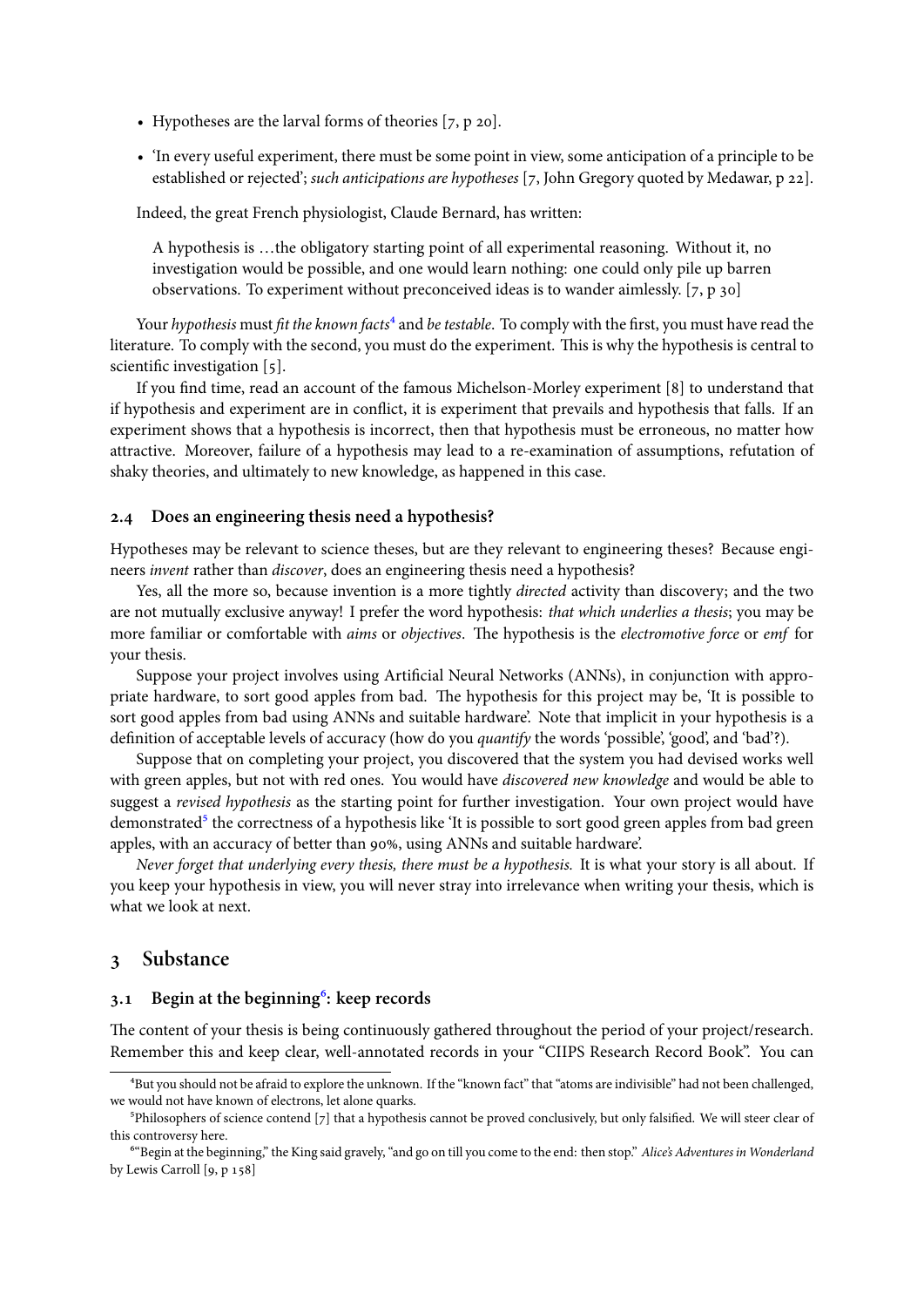- Hypotheses are the larval forms of theories  $[7, p, 20]$ .
- 'In every useful experiment, there must be some point in view, some anticipation of a principle to be established or rejected'; *such anticipations are hypotheses* [7, John Gregory quoted by Medawar, p 22].

Indeed, the great French physiologist, Claude Bernard, has written:

A hypothesis is …the obligatory starting point of all experimental reasoning. Without it, no investigation would be possible, and one would learn nothing: one could only pile up barren observations. To experiment without preconceived ideas is to wander aimlessly. [ $7, p, 30$ ]

Your *hypothesis* must *fit the known facts*<sup>4</sup> and *be testable*. To comply with the first, you must have read the literature. To comply with the second, you must do the experiment. This is why the hypothesis is central to scientific investigation  $[5]$ .

If you find time, read an account of the famous Michelson-Morley experiment [8] to understand that if hypothesis and experiment are in confl[ic](#page-8-3)t, it is experiment that prevails and hypothesis that falls. If an experiment shows that a hypothesis is incorrect, then that hypothesis must be erroneous, no matter how attractive. Moreover, failure of a hypothesis may lead to a re-examination of assumptions, refutation of shaky theories, and ultimately to new knowledge, as happened in this case.

#### **. Does an engineering thesis need a hypothesis?**

Hypotheses may be relevant to science theses, but are they relevant to engineering theses? Because engineers *invent* rather than *discover*, does an engineering thesis need a hypothesis?

<span id="page-8-0"></span>Yes, all the more so, because invention is a more tightly *directed* activity than discovery; and the two are not mutually exclusive anyway! I prefer the word hypothesis: *that which underlies a thesis*; you may be more familiar or comfortable with *aims* or *objectives*. The hypothesis is the *electromotive force* or *emf* for your thesis.

Suppose your project involves using Artificial Neural Networks (ANNs), in conjunction with appropriate hardware, to sort good apples from bad. The hypothesis for this project may be, 'It is possible to sort good apples from bad using ANNs and suitable hardware'. Note that implicit in your hypothesis is a definition of acceptable levels of accuracy (how do you *quantify* the words 'possible', 'good', and 'bad'?).

Suppose that on completing your project, you discovered that the system you had devised works well with green apples, but not with red ones. You would have *discovered new knowledge* and would be able to suggest a *revised hypothesis* as the starting point for further investigation. Your own project would have demonstrated<sup>5</sup> the correctness of a hypothesis like 'It is possible to sort good green apples from bad green apples, with an accuracy of better than 90%, using ANNs and suitable hardware'.

*Never forget that underlying every thesis, there must be a hypothesis.* It is what your story is all about. If you keep your hypothesis in view, you will never stray into irrelevance when writing your thesis, which is what we look [at](#page-8-4) next.

#### **Substance**

## **. Begin at the beginning**⁶**: keep records**

<span id="page-8-1"></span>The content of your thesis is being continuously gathered throughout the period of your project/research. Remember this and keep clear, well-annotated records in your "CIIPS Research Record Book". You can

<span id="page-8-2"></span>⁴But you should not be afraid to ex[plo](#page-8-5)re the unknown. If the "known fact" that "atoms are indivisible" had not been challenged, we would not have known of electrons, let alone quarks.

<sup>&</sup>lt;sup>5</sup>Philosophers of science contend [7] that a hypothesis cannot be proved conclusively, but only falsified. We will steer clear of this controversy here.

<span id="page-8-5"></span><span id="page-8-4"></span><span id="page-8-3"></span>⁶"Begin at the beginning," the King said gravely, "and go on till you come to the end: then stop." *Alice's Adventures in Wonderland* by Lewis Carroll  $[9, p 158]$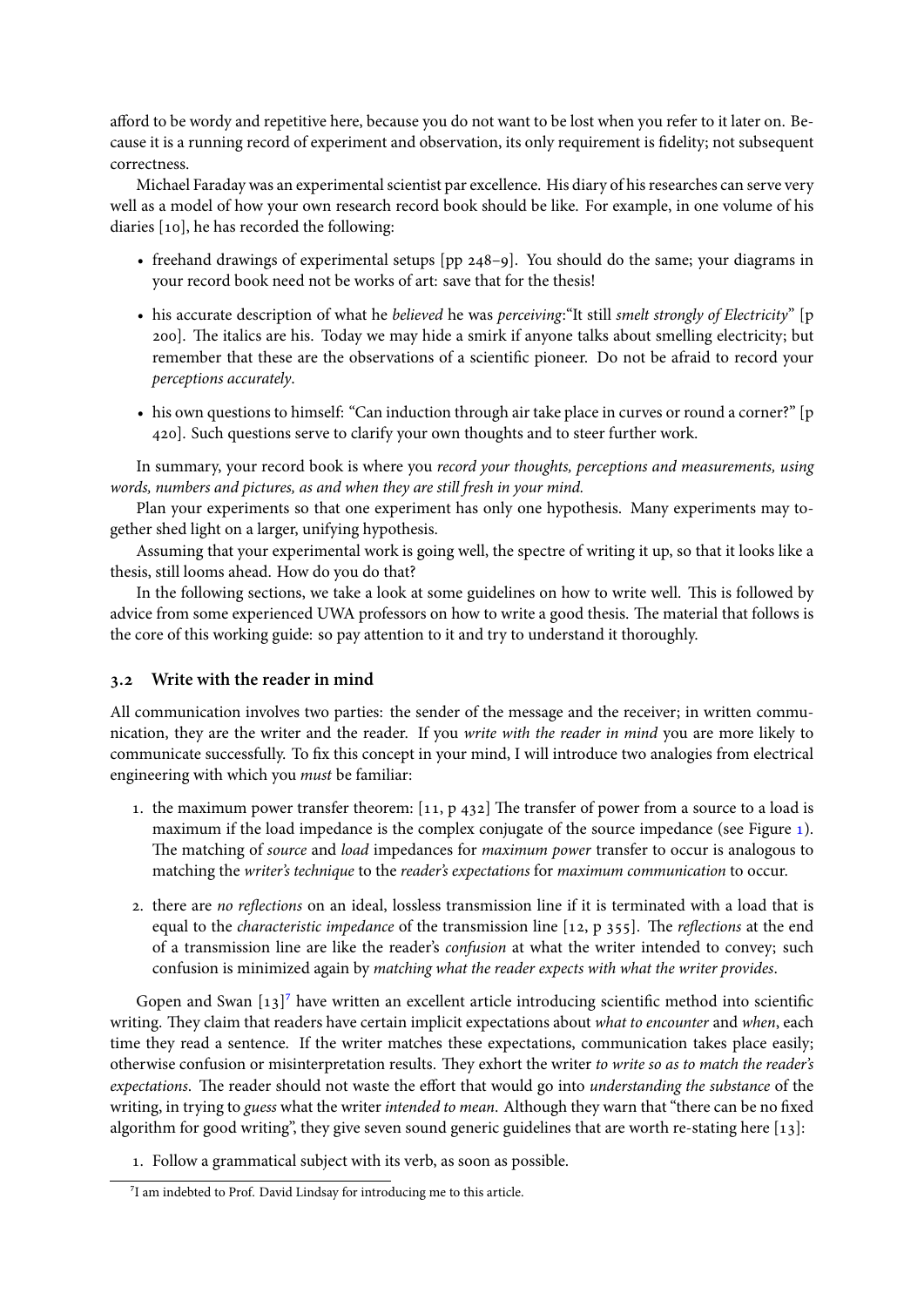afford to be wordy and repetitive here, because you do not want to be lost when you refer to it later on. Because it is a running record of experiment and observation, its only requirement is fidelity; not subsequent correctness.

Michael Faraday was an experimental scientist par excellence. His diary of his researches can serve very well as a model of how your own research record book should be like. For example, in one volume of his diaries [10], he has recorded the following:

- freehand drawings of experimental setups [pp  $248 9$ ]. You should do the same; your diagrams in your record book need not be works of art: save that for the thesis!
- his accurate description of what he *believed* he was *perceiving*:"It still *smelt strongly of Electricity*" [p ]. e italics are his. Today we may hide a smirk if anyone talks about smelling electricity; but remember that these are the observations of a scientific pioneer. Do not be afraid to record your *perceptions accurately*.
- his own questions to himself: "Can induction through air take place in curves or round a corner?" [p 420]. Such questions serve to clarify your own thoughts and to steer further work.

In summary, your record book is where you *record your thoughts, perceptions and measurements, using words, numbers and pictures, as and when they are still fresh in your mind.*

Plan your experiments so that one experiment has only one hypothesis. Many experiments may together shed light on a larger, unifying hypothesis.

Assuming that your experimental work is going well, the spectre of writing it up, so that it looks like a thesis, still looms ahead. How do you do that?

In the following sections, we take a look at some guidelines on how to write well. This is followed by advice from some experienced UWA professors on how to write a good thesis. The material that follows is the core of this working guide: so pay attention to it and try to understand it thoroughly.

#### **. Write with the reader in mind**

<span id="page-9-0"></span>All communication involves two parties: the sender of the message and the receiver; in written communication, they are the writer and the reader. If you *write with the reader in mind* you are more likely to communicate successfully. To fix this concept in your mind, I will introduce two analogies from electrical engineering with which you *must* be familiar:

- 1. the maximum power transfer theorem:  $[11, p 432]$  The transfer of power from a source to a load is maximum if the load impedance is the complex conjugate of the source impedance (see Figure 1). e matching of *source* and *load* impedances for *maximum power* transfer to occur is analogous to matching the *writer's technique* to the *reader's expectations* for *maximum communication* to occur.
- . there are *no reflections* on an ideal, lossless transmission line if it is terminated with a load tha[t i](#page-10-2)s equal to the *characteristic impedance* of the transmission line [12, p 355]. The *reflections* at the end of a transmission line are like the reader's *confusion* at what the writer intended to convey; such confusion is minimized again by *matching what the reader expects with what the writer provides*.

Gopen and Swan  $\left[13\right]^7$  have written an excellent article introducing scientific method into scientific writing. They claim that readers have certain implicit expectations about *what to encounter* and *when*, each time they read a sentence. If the writer matches these expectations, communication takes place easily; otherwise confusion or misinterpretation results. They exhort the writer *to write so as to match the reader's expectations*.The reader s[ho](#page-9-1)uld not waste the effort that would go into *understanding the substance* of the writing, in trying to *guess* what the writer *intended to mean*. Although they warn that "there can be no fixed algorithm for good writing", they give seven sound generic guidelines that are worth re-stating here  $[13]$ :

. Follow a grammatical subject with its verb, as soon as possible.

<span id="page-9-1"></span><sup>&</sup>lt;sup>7</sup>I am indebted to Prof. David Lindsay for introducing me to this article.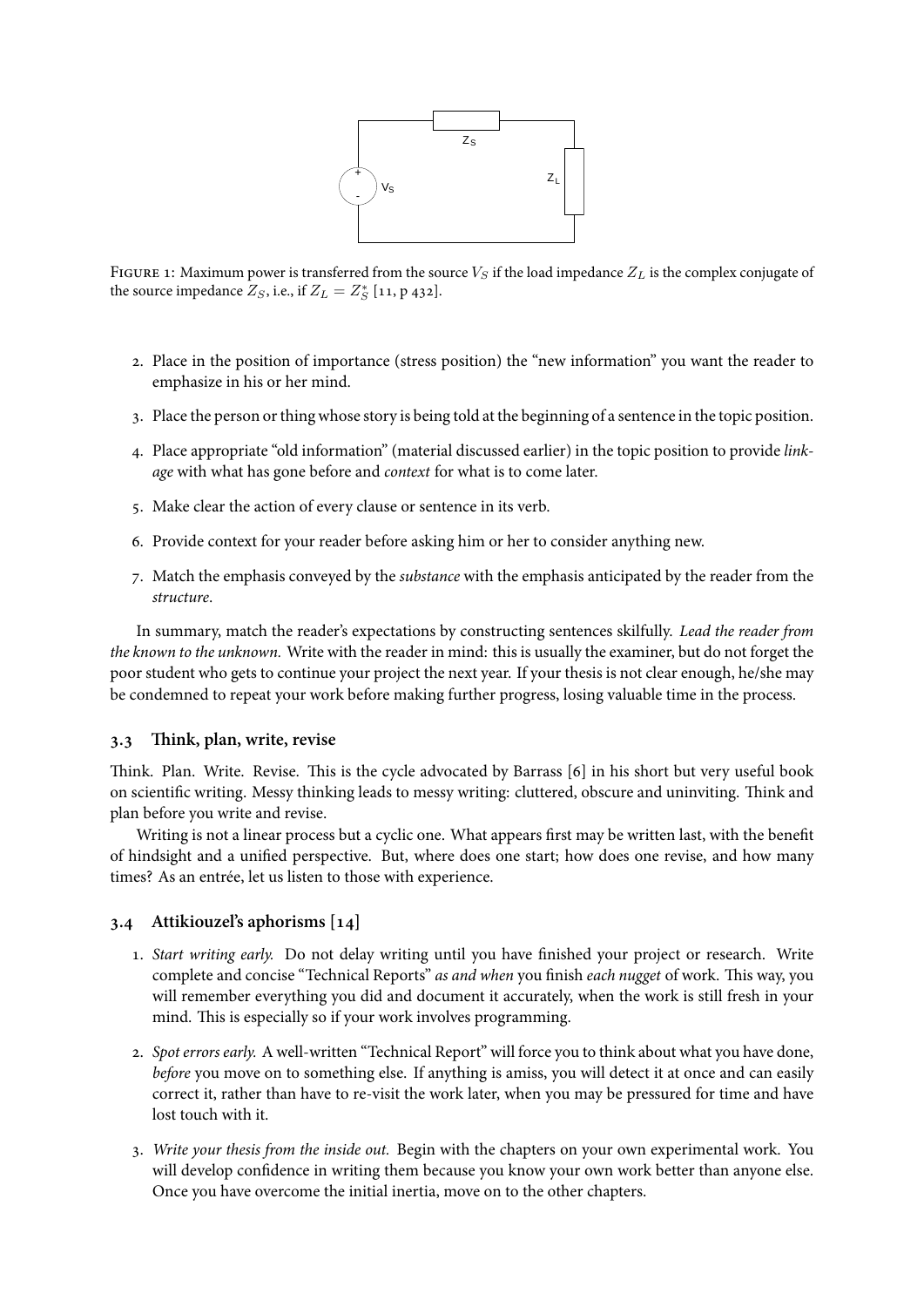

<span id="page-10-2"></span>FIGURE 1: Maximum power is transferred from the source  $V_S$  if the load impedance  $Z_L$  is the complex conjugate of the source impedance  $Z_S$ , i.e., if  $Z_L = Z_S^*$  [11, p 432].

- . Place in the position of importance (stress position) the "new information" you want the reader to emphasize in his or her mind.
- . Place the person or thing whose story is being told at the beginning of a sentence in the topic position.
- . Place appropriate "old information" (material discussed earlier) in the topic position to provide *linkage* with what has gone before and *context* for what is to come later.
- . Make clear the action of every clause or sentence in its verb.
- . Provide context for your reader before asking him or her to consider anything new.
- . Match the emphasis conveyed by the *substance* with the emphasis anticipated by the reader from the *structure*.

In summary, match the reader's expectations by constructing sentences skilfully. *Lead the reader from the known to the unknown.* Write with the reader in mind: this is usually the examiner, but do not forget the poor student who gets to continue your project the next year. If your thesis is not clear enough, he/she may be condemned to repeat your work before making further progress, losing valuable time in the process.

#### <span id="page-10-0"></span>**. ink, plan, write, revise**

Think. Plan. Write. Revise. This is the cycle advocated by Barrass [6] in his short but very useful book on scientific writing. Messy thinking leads to messy writing: cluttered, obscure and uninviting. Think and plan before you write and revise.

Writing is not a linear process but a cyclic one. What appears first may be written last, with the benefit of hindsight and a unified perspective. But, where does one start; how does one revise, and how many times? As an entrée, let us listen to those with experience.

#### <span id="page-10-1"></span>**3.4** Attikiouzel's aphorisms [14]

- . *Start writing early.* Do not delay writing until you have finished your project or research. Write complete and concise "Technical Reports" *as and when* you finish *each nugget* of work. This way, you will remember everything you did and document it accurately, when the work is still fresh in your mind. This is especially so if your work involves programming.
- . *Spot errors early.* A well-written "Technical Report" will force you to think about what you have done, *before* you move on to something else. If anything is amiss, you will detect it at once and can easily correct it, rather than have to re-visit the work later, when you may be pressured for time and have lost touch with it.
- . *Write your thesis from the inside out.* Begin with the chapters on your own experimental work. You will develop confidence in writing them because you know your own work better than anyone else. Once you have overcome the initial inertia, move on to the other chapters.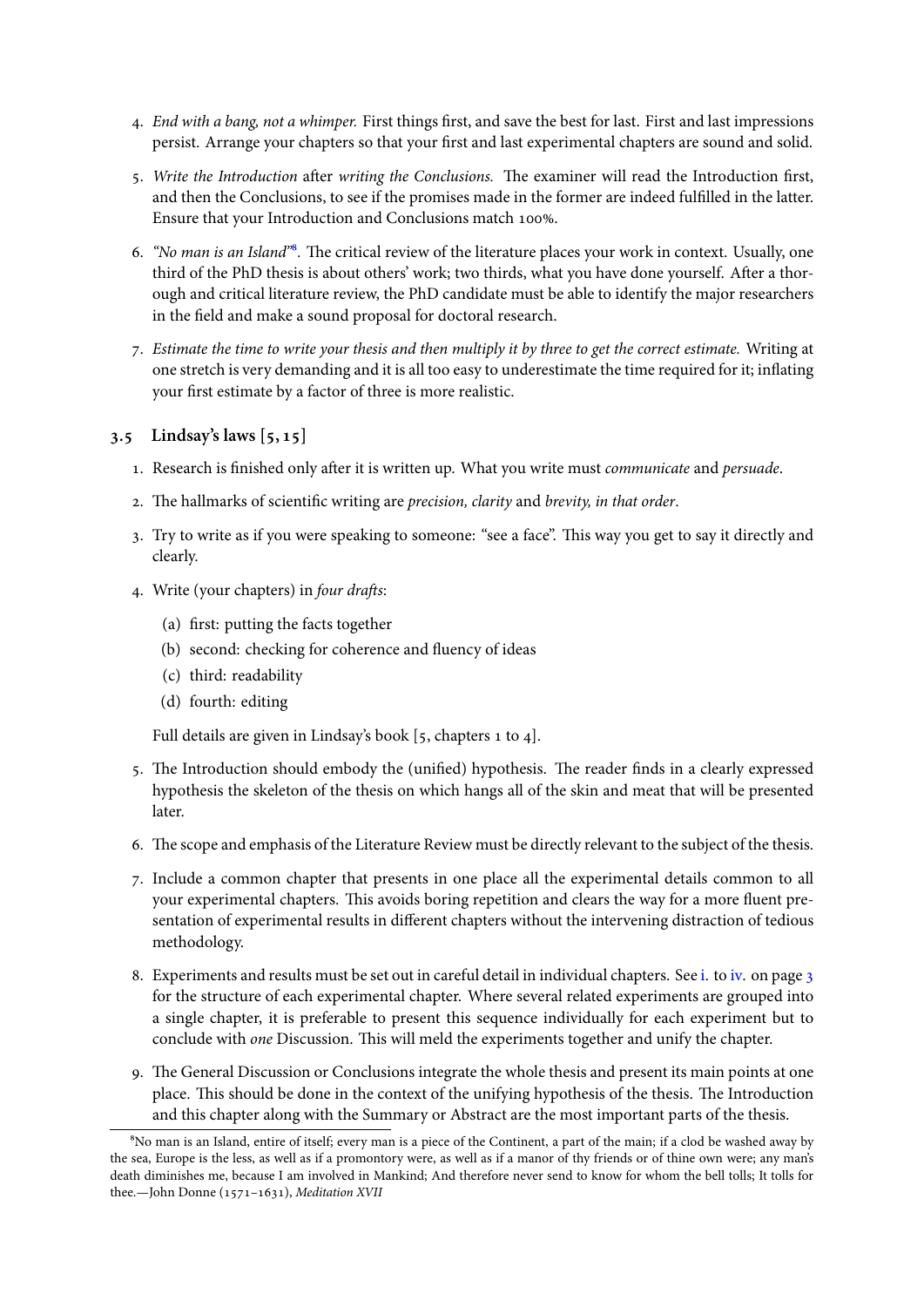- . *End with a bang, not a whimper.* First things first, and save the best for last. First and last impressions persist. Arrange your chapters so that your first and last experimental chapters are sound and solid.
- 5. Write the Introduction after writing the Conclusions. The examiner will read the Introduction first, and then the Conclusions, to see if the promises made in the former are indeed fulfilled in the latter. Ensure that your Introduction and Conclusions match 100%.
- . *"No man is an Island"*⁸*.* e critical review of the literature places your work in context. Usually, one third of the PhD thesis is about others' work; two thirds, what you have done yourself. After a thorough and critical literature review, the PhD candidate must be able to identify the major researchers in the field and mak[e a](#page-11-1) sound proposal for doctoral research.
- . *Estimate the time to write your thesis and then multiply it by three to get the correct estimate.* Writing at one stretch is very demanding and it is all too easy to underestimate the time required for it; inflating your first estimate by a factor of three is more realistic.

## **3.5** Lindsay's laws [5, 15]

- 1. Research is finished only after it is written up. What you write must *communicate* and *persuade*.
- <span id="page-11-0"></span>2. The hallmarks of scientific writing are *precision, clarity* and *brevity, in that order*.
- 3. Try to write as if you were speaking to someone: "see a face". This way you get to say it directly and clearly.
- <span id="page-11-2"></span>4. Write (your chapters) in *four drafts*:
	- (a) first: putting the facts together
	- (b) second: checking for coherence and fluency of ideas
	- (c) third: readability
	- (d) fourth: editing

Full details are given in Lindsay's book  $[5,$  chapters 1 to 4.

- 5. The Introduction should embody the (unified) hypothesis. The reader finds in a clearly expressed hypothesis the skeleton of the thesis on which hangs all of the skin and meat that will be presented later.
- 6. The scope and emphasis of the Literature Review must be directly relevant to the subject of the thesis.
- . Include a common chapter that presents in one place all the experimental details common to all your experimental chapters. This avoids boring repetition and clears the way for a more fluent presentation of experimental results in different chapters without the intervening distraction of tedious methodology.
- 8. Experiments and results must be set out in careful detail in individual chapters. See i. to iv. on page 3 for the structure of each experimental chapter. Where several related experiments are grouped into a single chapter, it is preferable to present this sequence individually for each experiment but to conclude with *one* Discussion. This will meld [th](#page-7-4)e experiments together and unify the c[ha](#page-7-5)pter.
- 9. The General Discussion or Conclusions integrate the whole thesis and present its main points at one place. This should be done in the context of the unifying hypothesis of the thesis. The Introduction and this chapter along with the Summary or Abstract are the most important parts of the thesis.

<span id="page-11-1"></span>⁸No man is an Island, entire of itself; every man is a piece of the Continent, a part of the main; if a clod be washed away by the sea, Europe is the less, as well as if a promontory were, as well as if a manor of thy friends or of thine own were; any man's death diminishes me, because I am involved in Mankind; And therefore never send to know for whom the bell tolls; It tolls for thee.-John Donne (1571-1631), *Meditation XVII*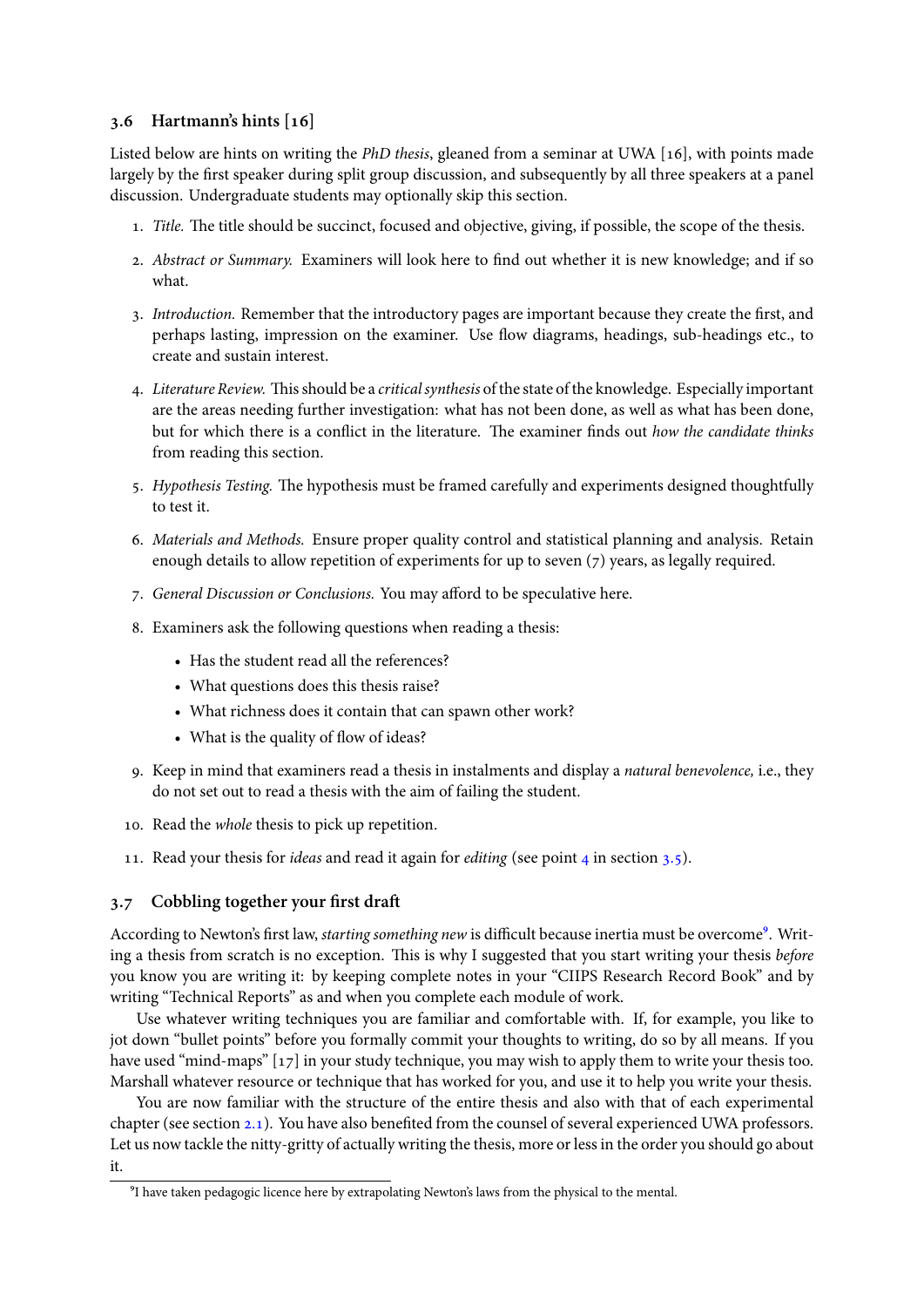## **3.6** Hartmann's hints [16]

Listed below are hints on writing the *PhD thesis*, gleaned from a seminar at UWA [], with points made largely by the first speaker during split group discussion, and subsequently by all three speakers at a panel discussion. Undergraduate students may optionally skip this section.

- <span id="page-12-0"></span>1. *Title.* The title should be succinct, focused and objective, giving, if possible, the scope of the thesis.
- . *Abstract or Summary.* Examiners will look here to find out whether it is new knowledge; and if so what.
- . *Introduction.* Remember that the introductory pages are important because they create the first, and perhaps lasting, impression on the examiner. Use flow diagrams, headings, sub-headings etc., to create and sustain interest.
- 4. Literature Review. This should be a *critical synthesis* of the state of the knowledge. Especially important are the areas needing further investigation: what has not been done, as well as what has been done, but for which there is a conflict in the literature. The examiner finds out *how the candidate thinks* from reading this section.
- 5. Hypothesis Testing. The hypothesis must be framed carefully and experiments designed thoughtfully to test it.
- . *Materials and Methods.* Ensure proper quality control and statistical planning and analysis. Retain enough details to allow repetition of experiments for up to seven  $(7)$  years, as legally required.
- . *General Discussion or Conclusions.* You may afford to be speculative here.
- . Examiners ask the following questions when reading a thesis:
	- Has the student read all the references?
	- What questions does this thesis raise?
	- What richness does it contain that can spawn other work?
	- What is the quality of flow of ideas?
- . Keep in mind that examiners read a thesis in instalments and display a *natural benevolence,* i.e., they do not set out to read a thesis with the aim of failing the student.
- . Read the *whole* thesis to pick up repetition.
- 11. Read your thesis for *ideas* and read it again for *editing* (see point  $\frac{4}{1}$  in section 3.5).

## **. Cobbling together your first dra**

<span id="page-12-1"></span>According to Newton's first law, *starting something new* is difficult becau[se](#page-11-2) inertia m[ust b](#page-11-0)e overcome<sup>9</sup>. Writing a thesis from scratch is no exception. This is why I suggested that you start writing your thesis *before* you know you are writing it: by keeping complete notes in your "CIIPS Research Record Book" and by writing "Technical Reports" as and when you complete each module of work.

Use whatever writing techniques you are familiar and comfortable with. If, for example, yo[u](#page-12-2) like to jot down "bullet points" before you formally commit your thoughts to writing, do so by all means. If you have used "mind-maps" [17] in your study technique, you may wish to apply them to write your thesis too. Marshall whatever resource or technique that has worked for you, and use it to help you write your thesis.

You are now familiar with the structure of the entire thesis and also with that of each experimental chapter (see section 2.1). You have also benefited from the counsel of several experienced UWA professors. Let us now tackle the nitty-gritty of actually writing the thesis, more or less in the order you should go about it.

<span id="page-12-2"></span>⁹I have taken pedag[ogic l](#page-6-1)icence here by extrapolating Newton's laws from the physical to the mental.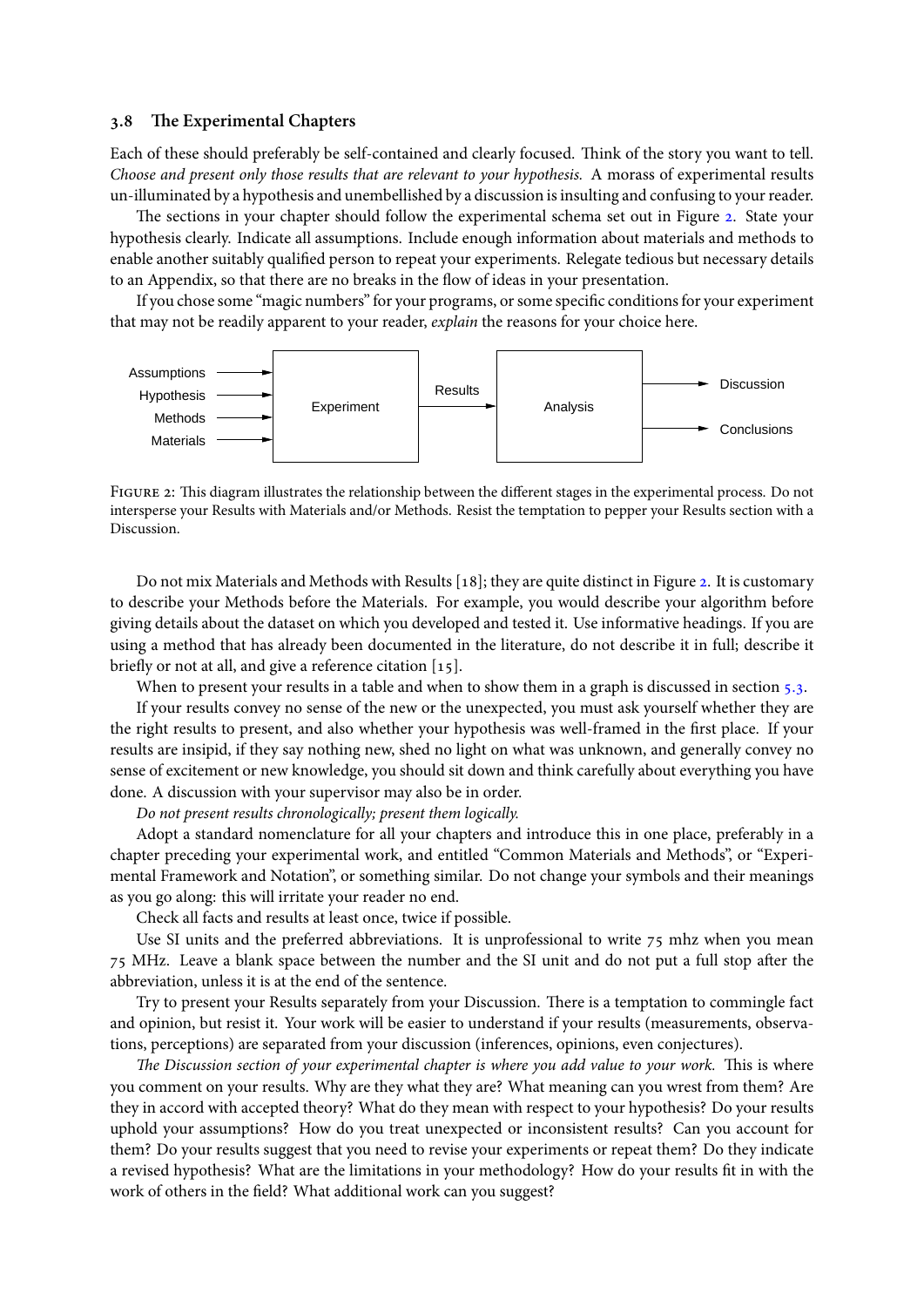#### **. e Experimental Chapters**

Each of these should preferably be self-contained and clearly focused. Think of the story you want to tell. *Choose and present only those results that are relevant to your hypothesis.* A morass of experimental results un-illuminated by a hypothesis and unembellished by a discussion is insulting and confusing to your reader.

<span id="page-13-0"></span>The sections in your chapter should follow the experimental schema set out in Figure 2. State your hypothesis clearly. Indicate all assumptions. Include enough information about materials and methods to enable another suitably qualified person to repeat your experiments. Relegate tedious but necessary details to an Appendix, so that there are no breaks in the flow of ideas in your presentation.

If you chose some "magic numbers" for your programs, or some specific conditions for yo[ur](#page-13-1) experiment that may not be readily apparent to your reader, *explain* the reasons for your choice here.



FIGURE 2: This diagram illustrates the relationship between the different stages in the experimental process. Do not intersperse your Results with Materials and/or Methods. Resist the temptation to pepper your Results section with a Discussion.

<span id="page-13-1"></span>Do not mix Materials and Methods with Results [18]; they are quite distinct in Figure 2. It is customary to describe your Methods before the Materials. For example, you would describe your algorithm before giving details about the dataset on which you developed and tested it. Use informative headings. If you are using a method that has already been documented in the literature, do not describe it [in](#page-13-1) full; describe it briefly or not at all, and give a reference citation  $[15]$ .

When to present your results in a table and when to show them in a graph is discussed in section  $5.3$ .

If your results convey no sense of the new or the unexpected, you must ask yourself whether they are the right results to present, and also whether your hypothesis was well-framed in the first place. If your results are insipid, if they say nothing new, shed no light on what was unknown, and generally convey no sense of excitement or new knowledge, you should sit down and think carefully about everything you [hav](#page-23-0)e done. A discussion with your supervisor may also be in order.

*Do not present results chronologically; present them logically.*

Adopt a standard nomenclature for all your chapters and introduce this in one place, preferably in a chapter preceding your experimental work, and entitled "Common Materials and Methods", or "Experimental Framework and Notation", or something similar. Do not change your symbols and their meanings as you go along: this will irritate your reader no end.

Check all facts and results at least once, twice if possible.

Use SI units and the preferred abbreviations. It is unprofessional to write  $75$  mhz when you mean  $75$  MHz. Leave a blank space between the number and the SI unit and do not put a full stop after the abbreviation, unless it is at the end of the sentence.

Try to present your Results separately from your Discussion. There is a temptation to commingle fact and opinion, but resist it. Your work will be easier to understand if your results (measurements, observations, perceptions) are separated from your discussion (inferences, opinions, even conjectures).

*The Discussion section of your experimental chapter is where you add value to your work.* This is where you comment on your results. Why are they what they are? What meaning can you wrest from them? Are they in accord with accepted theory? What do they mean with respect to your hypothesis? Do your results uphold your assumptions? How do you treat unexpected or inconsistent results? Can you account for them? Do your results suggest that you need to revise your experiments or repeat them? Do they indicate a revised hypothesis? What are the limitations in your methodology? How do your results fit in with the work of others in the field? What additional work can you suggest?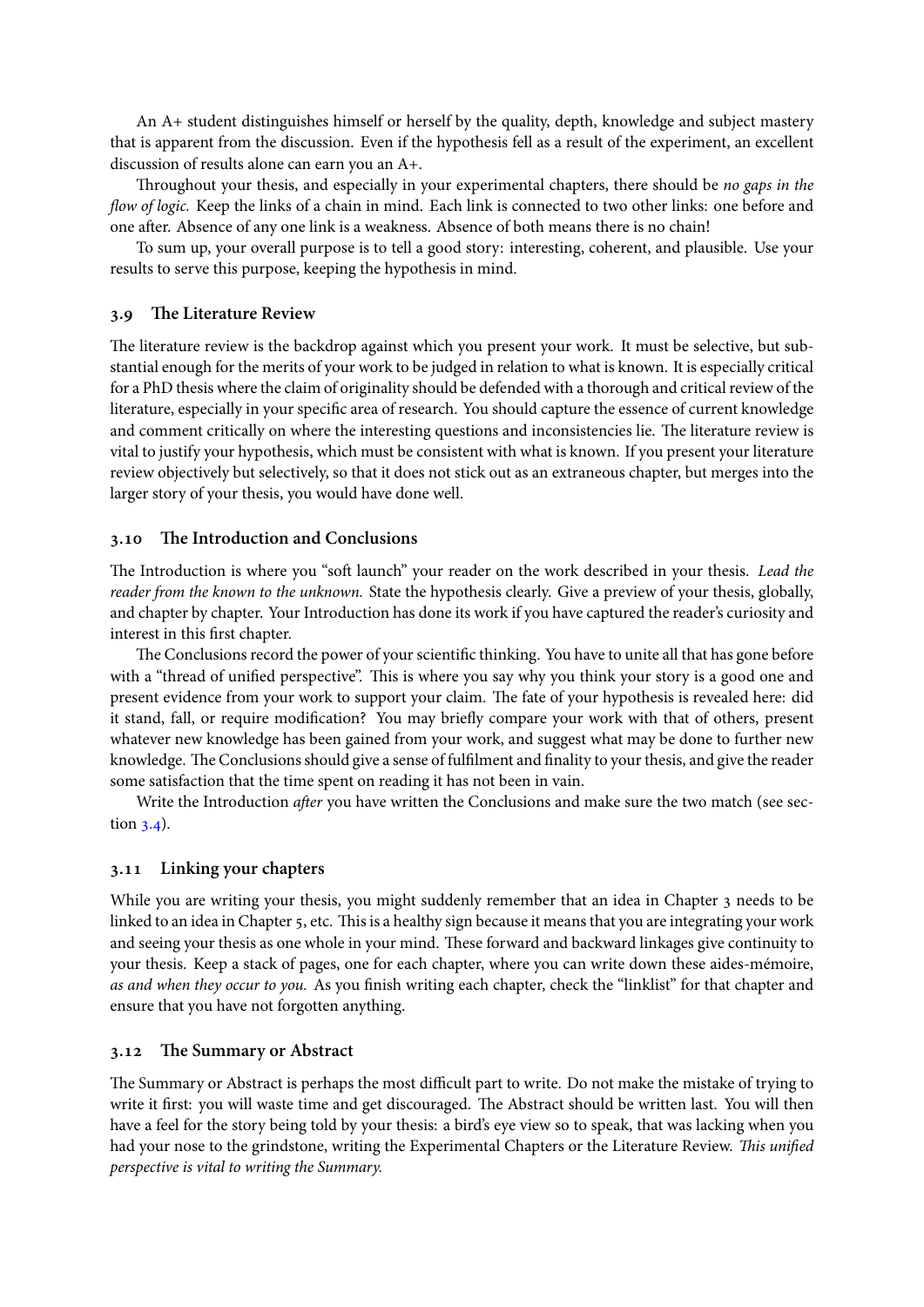An A+ student distinguishes himself or herself by the quality, depth, knowledge and subject mastery that is apparent from the discussion. Even if the hypothesis fell as a result of the experiment, an excellent discussion of results alone can earn you an A+.

Throughout your thesis, and especially in your experimental chapters, there should be *no gaps in the flow of logic.* Keep the links of a chain in mind. Each link is connected to two other links: one before and one after. Absence of any one link is a weakness. Absence of both means there is no chain!

To sum up, your overall purpose is to tell a good story: interesting, coherent, and plausible. Use your results to serve this purpose, keeping the hypothesis in mind.

## **. e Literature Review**

<span id="page-14-0"></span>The literature review is the backdrop against which you present your work. It must be selective, but substantial enough for the merits of your work to be judged in relation to what is known. It is especially critical for a PhD thesis where the claim of originality should be defended with a thorough and critical review of the literature, especially in your specific area of research. You should capture the essence of current knowledge and comment critically on where the interesting questions and inconsistencies lie. The literature review is vital to justify your hypothesis, which must be consistent with what is known. If you present your literature review objectively but selectively, so that it does not stick out as an extraneous chapter, but merges into the larger story of your thesis, you would have done well.

## **. e Introduction and Conclusions**

<span id="page-14-1"></span>The Introduction is where you "soft launch" your reader on the work described in your thesis. Lead the *reader from the known to the unknown.* State the hypothesis clearly. Give a preview of your thesis, globally, and chapter by chapter. Your Introduction has done its work if you have captured the reader's curiosity and interest in this first chapter.

The Conclusions record the power of your scientific thinking. You have to unite all that has gone before with a "thread of unified perspective". This is where you say why you think your story is a good one and present evidence from your work to support your claim. The fate of your hypothesis is revealed here: did it stand, fall, or require modification? You may briefly compare your work with that of others, present whatever new knowledge has been gained from your work, and suggest what may be done to further new knowledge. The Conclusions should give a sense of fulfilment and finality to your thesis, and give the reader some satisfaction that the time spent on reading it has not been in vain.

Write the Introduction *after* you have written the Conclusions and make sure the two match (see section  $3.4$ ).

## **. Linking your chapters**

<span id="page-14-2"></span>Whi[le y](#page-10-1)ou are writing your thesis, you might suddenly remember that an idea in Chapter 3 needs to be linked to an idea in Chapter 5, etc. This is a healthy sign because it means that you are integrating your work and seeing your thesis as one whole in your mind. These forward and backward linkages give continuity to your thesis. Keep a stack of pages, one for each chapter, where you can write down these aides-mémoire, *as and when they occur to you.* As you finish writing each chapter, check the "linklist" for that chapter and ensure that you have not forgotten anything.

## **3.12** The Summary or Abstract

<span id="page-14-3"></span>The Summary or Abstract is perhaps the most difficult part to write. Do not make the mistake of trying to write it first: you will waste time and get discouraged. The Abstract should be written last. You will then have a feel for the story being told by your thesis: a bird's eye view so to speak, that was lacking when you had your nose to the grindstone, writing the Experimental Chapters or the Literature Review. *This unified perspective is vital to writing the Summary.*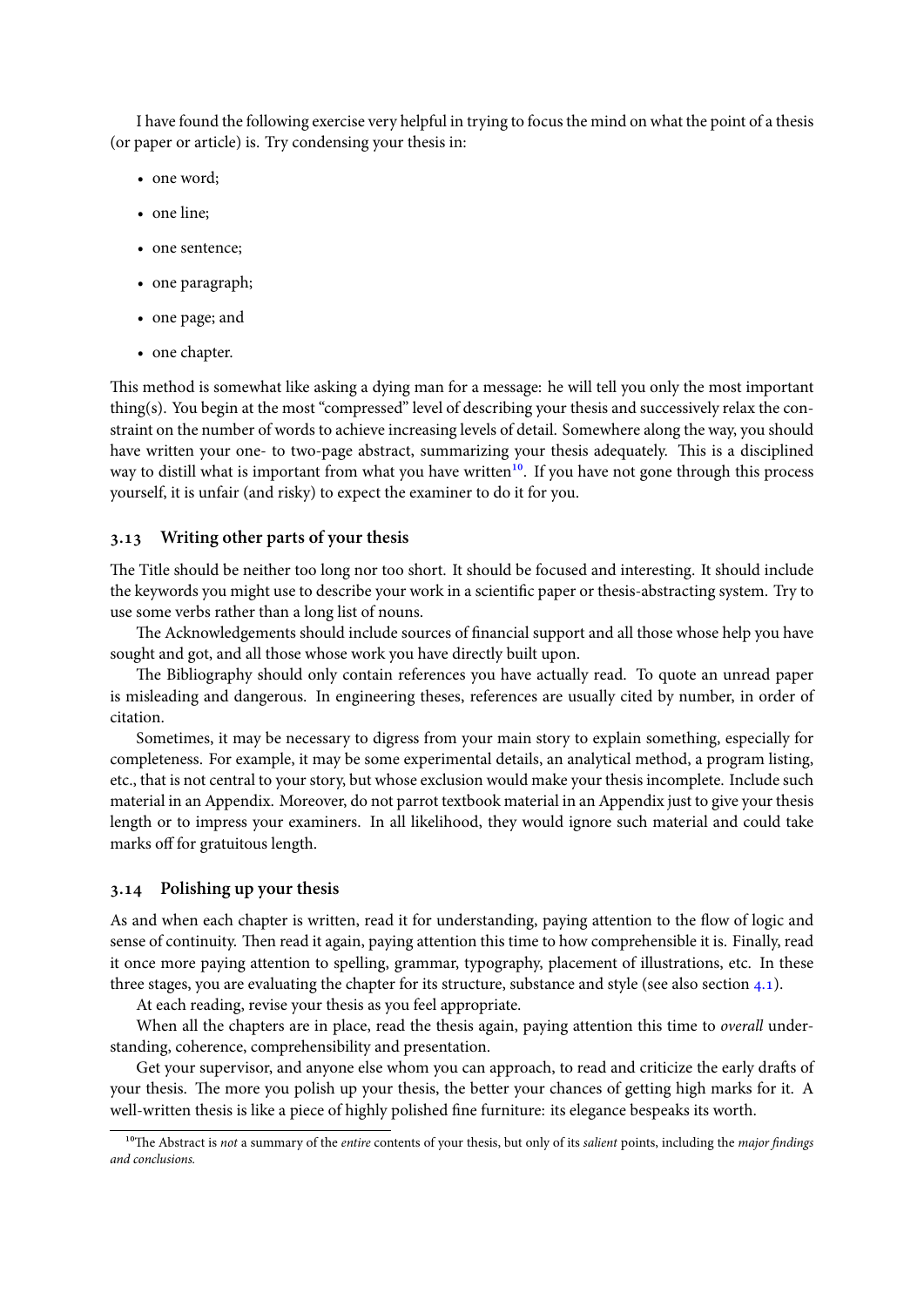I have found the following exercise very helpful in trying to focus the mind on what the point of a thesis (or paper or article) is. Try condensing your thesis in:

- one word;
- one line;
- one sentence;
- one paragraph;
- one page; and
- one chapter.

This method is somewhat like asking a dying man for a message: he will tell you only the most important thing(s). You begin at the most "compressed" level of describing your thesis and successively relax the constraint on the number of words to achieve increasing levels of detail. Somewhere along the way, you should have written your one- to two-page abstract, summarizing your thesis adequately. This is a disciplined way to distill what is important from what you have written<sup>10</sup>. If you have not gone through this process yourself, it is unfair (and risky) to expect the examiner to do it for you.

## **. Writing other parts of your thesis**

The Title should be neither too long nor too short. It should be focused and interesting. It should include the keywords you might use to describe your work in a scientific paper or thesis-abstracting system. Try to use some verbs rather than a long list of nouns.

<span id="page-15-0"></span>The Acknowledgements should include sources of financial support and all those whose help you have sought and got, and all those whose work you have directly built upon.

e Bibliography should only contain references you have actually read. To quote an unread paper is misleading and dangerous. In engineering theses, references are usually cited by number, in order of citation.

Sometimes, it may be necessary to digress from your main story to explain something, especially for completeness. For example, it may be some experimental details, an analytical method, a program listing, etc., that is not central to your story, but whose exclusion would make your thesis incomplete. Include such material in an Appendix. Moreover, do not parrot textbook material in an Appendix just to give your thesis length or to impress your examiners. In all likelihood, they would ignore such material and could take marks off for gratuitous length.

## **. Polishing up your thesis**

<span id="page-15-1"></span>As and when each chapter is written, read it for understanding, paying attention to the flow of logic and sense of continuity. Then read it again, paying attention this time to how comprehensible it is. Finally, read it once more paying attention to spelling, grammar, typography, placement of illustrations, etc. In these three stages, you are evaluating the chapter for its structure, substance and style (see also section  $4.1$ ).

At each reading, revise your thesis as you feel appropriate.

When all the chapters are in place, read the thesis again, paying attention this time to *overall* understanding, coherence, comprehensibility and presentation.

Get your supervisor, and anyone else whom you can approach, to read and criticize the earl[y dra](#page-16-3)fts of your thesis. The more you polish up your thesis, the better your chances of getting high marks for it. A well-written thesis is like a piece of highly polished fine furniture: its elegance bespeaks its worth.

<sup>&</sup>lt;sup>10</sup>The Abstract is *not* a summary of the *entire* contents of your thesis, but only of its *salient* points, including the *major findings and conclusions.*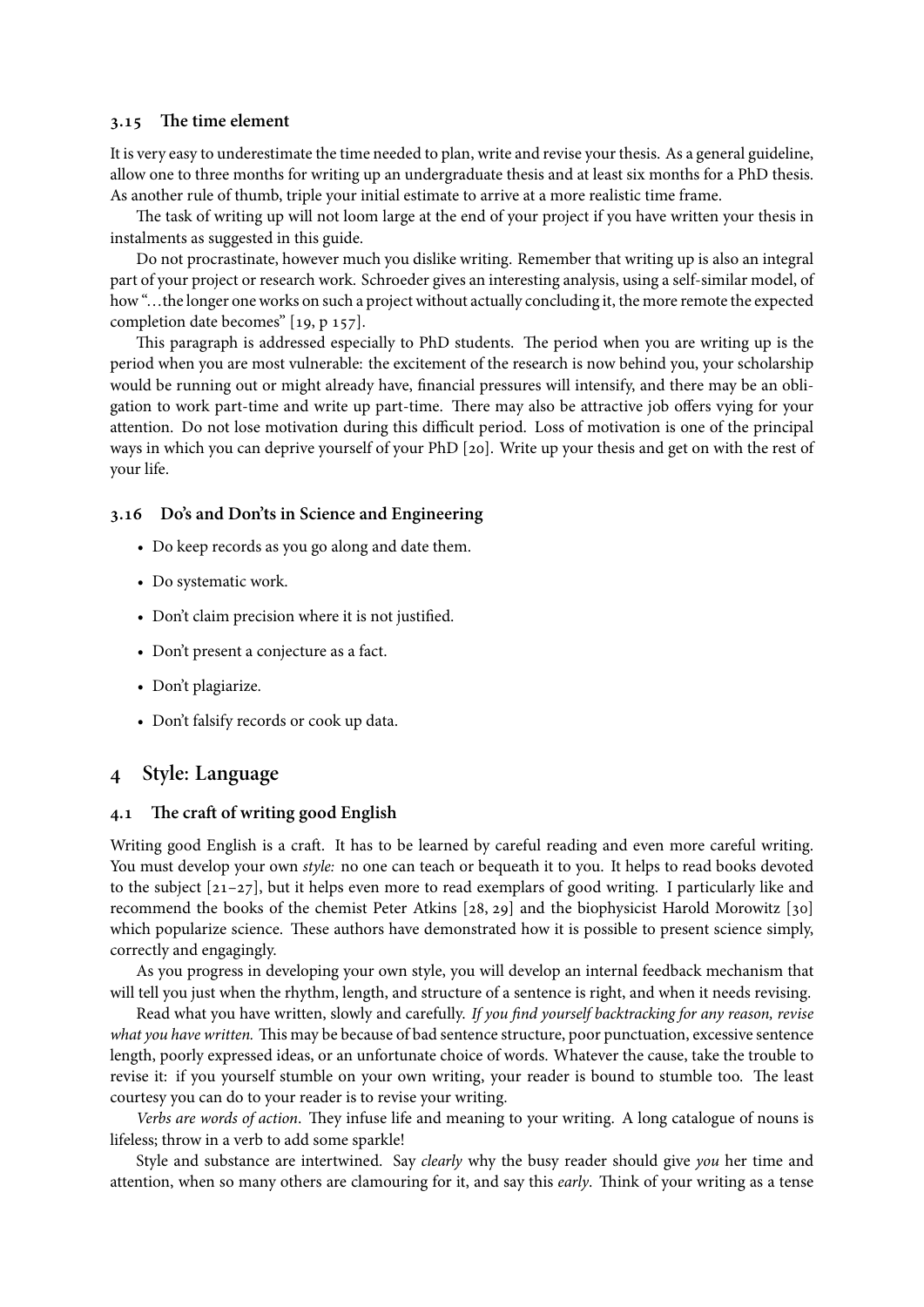#### <span id="page-16-0"></span>3.15 The time element

It is very easy to underestimate the time needed to plan, write and revise your thesis. As a general guideline, allow one to three months for writing up an undergraduate thesis and at least six months for a PhD thesis. As another rule of thumb, triple your initial estimate to arrive at a more realistic time frame.

The task of writing up will not loom large at the end of your project if you have written your thesis in instalments as suggested in this guide.

Do not procrastinate, however much you dislike writing. Remember that writing up is also an integral part of your project or research work. Schroeder gives an interesting analysis, using a self-similar model, of how "…the longer one works on such a project without actually concluding it, the more remote the expected completion date becomes"  $[19, p 157]$ .

This paragraph is addressed especially to PhD students. The period when you are writing up is the period when you are most vulnerable: the excitement of the research is now behind you, your scholarship would be running out or might already have, financial pressures will intensify, and there may be an obligation to work part-time and write up part-time. There may also be attractive job offers vying for your attention. Do not lose motivation during this difficult period. Loss of motivation is one of the principal ways in which you can deprive yourself of your PhD [20]. Write up your thesis and get on with the rest of your life.

#### <span id="page-16-1"></span>**. Do's and Don'ts in Science and Engineering**

- Do keep records as you go along and date them.
- Do systematic work.
- Don't claim precision where it is not justified.
- Don't present a conjecture as a fact.
- Don't plagiarize.
- Don't falsify records or cook up data.

## <span id="page-16-2"></span> **Style: Language**

#### <span id="page-16-3"></span>4.1 The craft of writing good English

Writing good English is a craft. It has to be learned by careful reading and even more careful writing. You must develop your own *style:* no one can teach or bequeath it to you. It helps to read books devoted to the subject  $[21-27]$ , but it helps even more to read exemplars of good writing. I particularly like and recommend the books of the chemist Peter Atkins  $[28, 29]$  and the biophysicist Harold Morowitz  $[30]$ which popularize science. These authors have demonstrated how it is possible to present science simply, correctly and engagingly.

As you progress in developing your own style, you will develop an internal feedback mechanism that will tell you just when the rhythm, length, and structure of a sentence is right, and when it needs revising.

Read what you have written, slowly and carefully. *If you find yourself backtracking for any reason, revise what you have written.* This may be because of bad sentence structure, poor punctuation, excessive sentence length, poorly expressed ideas, or an unfortunate choice of words. Whatever the cause, take the trouble to revise it: if you yourself stumble on your own writing, your reader is bound to stumble too. The least courtesy you can do to your reader is to revise your writing.

*Verbs are words of action*. They infuse life and meaning to your writing. A long catalogue of nouns is lifeless; throw in a verb to add some sparkle!

Style and substance are intertwined. Say *clearly* why the busy reader should give *you* her time and attention, when so many others are clamouring for it, and say this *early*. Think of your writing as a tense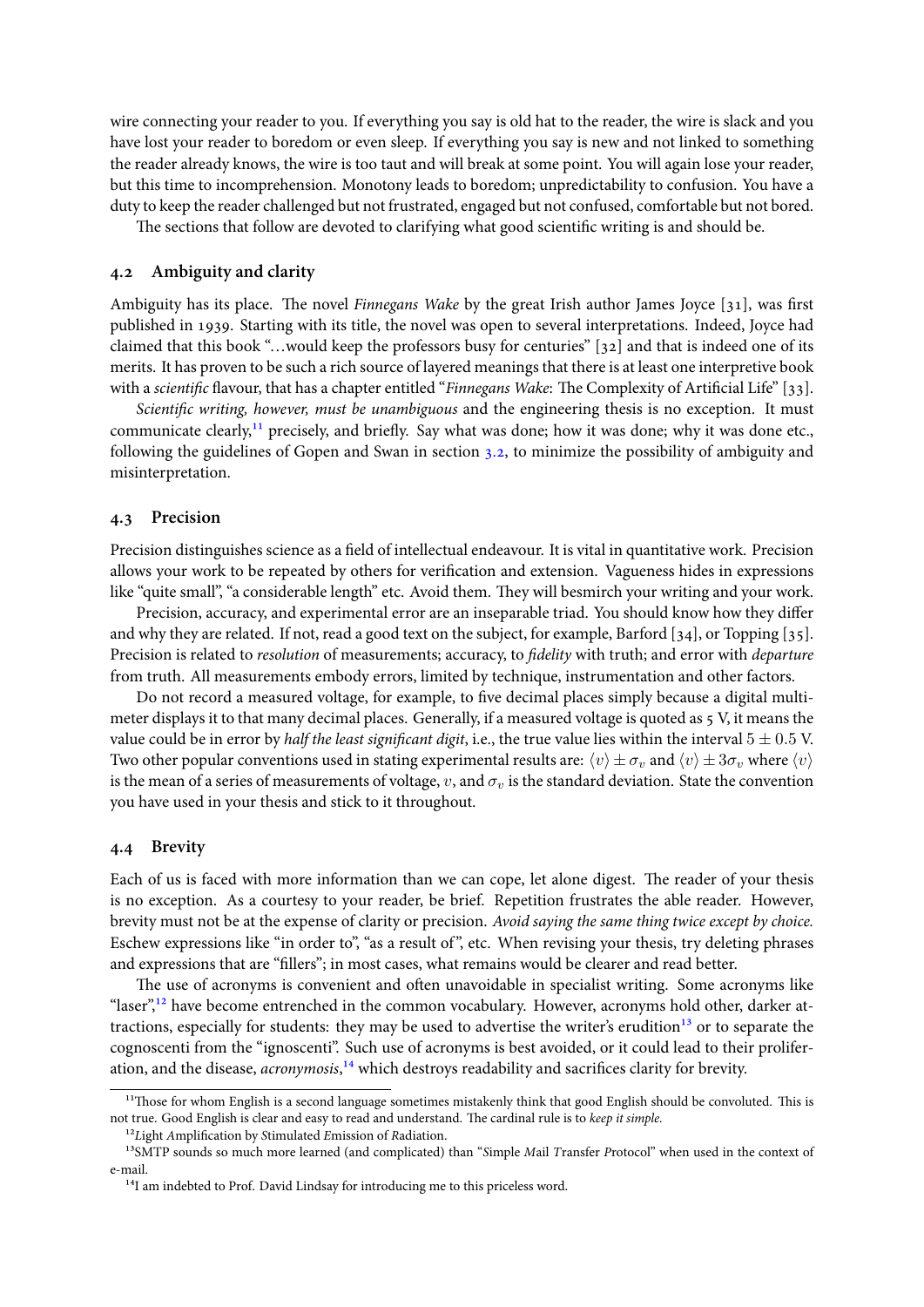wire connecting your reader to you. If everything you say is old hat to the reader, the wire is slack and you have lost your reader to boredom or even sleep. If everything you say is new and not linked to something the reader already knows, the wire is too taut and will break at some point. You will again lose your reader, but this time to incomprehension. Monotony leads to boredom; unpredictability to confusion. You have a duty to keep the reader challenged but not frustrated, engaged but not confused, comfortable but not bored.

The sections that follow are devoted to clarifying what good scientific writing is and should be.

#### **. Ambiguity and clarity**

<span id="page-17-0"></span>Ambiguity has its place. The novel *Finnegans Wake* by the great Irish author James Joyce [31], was first published in 1939. Starting with its title, the novel was open to several interpretations. Indeed, Joyce had claimed that this book "...would keep the professors busy for centuries"  $[32]$  and that is indeed one of its merits. It has proven to be such a rich source of layered meanings that there is at least one interpretive book with a *scientific* flavour, that has a chapter entitled "*Finnegans Wake*: The Complexity of Artificial Life" [33].

*Scientific writing, however, must be unambiguous* and the engineering thesis is no exception. It must communicate clearly, $<sup>11</sup>$  precisely, and briefly. Say what was done; how it was done; why it was done etc.,</sup> following the guidelines of Gopen and Swan in section 3.2, to minimize the possibility of ambiguity and misinterpretation.

#### **. Precision**

Precision distinguishes science as a field of intellectual endeavour. It is vital in quantitative work. Precision allows your work to be repeated by others for verification and extension. Vagueness hides in expressions like "quite small", "a considerable length" etc. Avoid them. They will besmirch your writing and your work.

<span id="page-17-1"></span>Precision, accuracy, and experimental error are an inseparable triad. You should know how they differ and why they are related. If not, read a good text on the subject, for example, Barford [34], or Topping [35]. Precision is related to *resolution* of measurements; accuracy, to *fidelity* with truth; and error with *departure* from truth. All measurements embody errors, limited by technique, instrumentation and other factors.

Do not record a measured voltage, for example, to five decimal places simply because a digital multimeter displays it to that many decimal places. Generally, if a measured voltage is quoted as V, it means the value could be in error by *half the least significant digit*, i.e., the true value lies within the interval  $5 \pm 0.5$  V. Two other popular conventions used in stating experimental results are:  $\langle v \rangle \pm \sigma_v$  and  $\langle v \rangle \pm 3\sigma_v$  where  $\langle v \rangle$ is the mean of a series of measurements of voltage, *v*, and  $\sigma_v$  is the standard deviation. State the convention you have used in your thesis and stick to it throughout.

#### **. Brevity**

<span id="page-17-2"></span>Each of us is faced with more information than we can cope, let alone digest. The reader of your thesis is no exception. As a courtesy to your reader, be brief. Repetition frustrates the able reader. However, brevity must not be at the expense of clarity or precision. *Avoid saying the same thing twice except by choice.* Eschew expressions like "in order to", "as a result of", etc. When revising your thesis, try deleting phrases and expressions that are "fillers"; in most cases, what remains would be clearer and read better.

The use of acronyms is convenient and often unavoidable in specialist writing. Some acronyms like "laser", $^{12}$  have become entrenched in the common vocabulary. However, acronyms hold other, darker attractions, especially for students: they may be used to advertise the writer's erudition $1<sup>3</sup>$  or to separate the cognoscenti from the "ignoscenti". Such use of acronyms is best avoided, or it could lead to their proliferation, [an](#page-17-3)d the disease, *acronymosis*,<sup>14</sup> which destroys readability and sacrifices clarity for brevity.

<sup>&</sup>lt;sup>11</sup>Those for whom English is a second language sometimes mistakenly think that good English shou[ld b](#page-17-4)e convoluted. This is not true. Good English is clear and easy to read and understand. The cardinal rule is to *keep it simple.* 

<sup>&</sup>lt;sup>12</sup> Light *Amplification* by *Stimulated Emission* of *Radiation*.

<sup>&</sup>lt;sup>13</sup>SMTP sounds so much more learned [\(an](#page-17-5)d complicated) than "Simple Mail Transfer Protocol" when used in the context of e-mail.

<span id="page-17-5"></span><span id="page-17-4"></span><span id="page-17-3"></span><sup>&</sup>lt;sup>14</sup>I am indebted to Prof. David Lindsay for introducing me to this priceless word.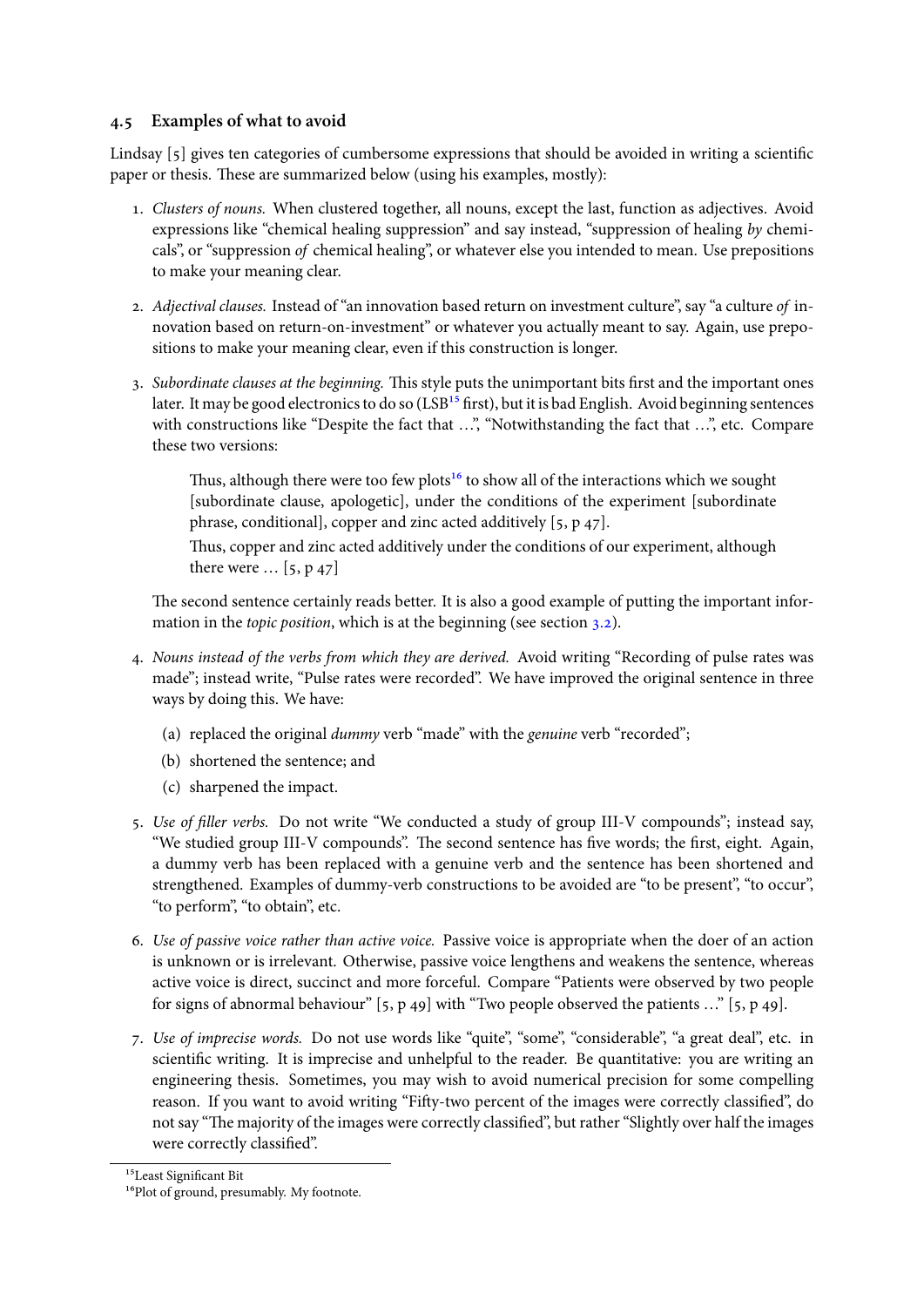## **. Examples of what to avoid**

Lindsay [5] gives ten categories of cumbersome expressions that should be avoided in writing a scientific paper or thesis. These are summarized below (using his examples, mostly):

- <span id="page-18-0"></span>. *Clusters of nouns.* When clustered together, all nouns, except the last, function as adjectives. Avoid expressions like "chemical healing suppression" and say instead, "suppression of healing *by* chemicals", or "suppression *of* chemical healing", or whatever else you intended to mean. Use prepositions to make your meaning clear.
- . *Adjectival clauses.* Instead of "an innovation based return on investment culture", say "a culture *of* innovation based on return-on-investment" or whatever you actually meant to say. Again, use prepositions to make your meaning clear, even if this construction is longer.
- 3. Subordinate clauses at the beginning. This style puts the unimportant bits first and the important ones later. It may be good electronics to do so (LSB<sup>15</sup> first), but it is bad English. Avoid beginning sentences with constructions like "Despite the fact that ...", "Notwithstanding the fact that ...", etc. Compare these two versions:

Thus, although there were too few plots<sup>16</sup> to show all of the interactions which we sought [subordinate clause, apologetic], under the conditions of the experiment [subordinate phrase, conditional], copper and zinc acted additively  $[5, p 47]$ .

Thus, copper and zinc acted additively [un](#page-18-2)der the conditions of our experiment, although there were  $\ldots$  [5, p 47]

The second sentence certainly reads better. It is also a good example of putting the important information in the *topic position*, which is at the beginning (see section 3.2).

- . *Nouns instead of the verbs from which they are derived.* Avoid writing "Recording of pulse rates was made"; instead write, "Pulse rates were recorded". We have improved the original sentence in three ways by doing this. We have:
	- (a) replaced the original *dummy* verb "made" with the *genuine* verb "recorded";
	- (b) shortened the sentence; and
	- (c) sharpened the impact.
- . *Use of filler verbs.* Do not write "We conducted a study of group III-V compounds"; instead say, "We studied group III-V compounds". The second sentence has five words; the first, eight. Again, a dummy verb has been replaced with a genuine verb and the sentence has been shortened and strengthened. Examples of dummy-verb constructions to be avoided are "to be present", "to occur", "to perform", "to obtain", etc.
- . *Use of passive voice rather than active voice.* Passive voice is appropriate when the doer of an action is unknown or is irrelevant. Otherwise, passive voice lengthens and weakens the sentence, whereas active voice is direct, succinct and more forceful. Compare "Patients were observed by two people for signs of abnormal behaviour"  $[5, p 49]$  with "Two people observed the patients ..."  $[5, p 49]$ .
- <span id="page-18-3"></span>. *Use of imprecise words.* Do not use words like "quite", "some", "considerable", "a great deal", etc. in scientific writing. It is imprecise and unhelpful to the reader. Be quantitative: you are writing an engineering thesis. Sometimes, you may wish to avoid numerical precision for some compelling reason. If you want to avoid writing "Fifty-two percent of the images were correctly classified", do not say "The majority of the images were correctly classified", but rather "Slightly over half the images were correctly classified".

<sup>&</sup>lt;sup>15</sup>Least Significant Bit

<span id="page-18-2"></span><span id="page-18-1"></span><sup>&</sup>lt;sup>16</sup>Plot of ground, presumably. My footnote.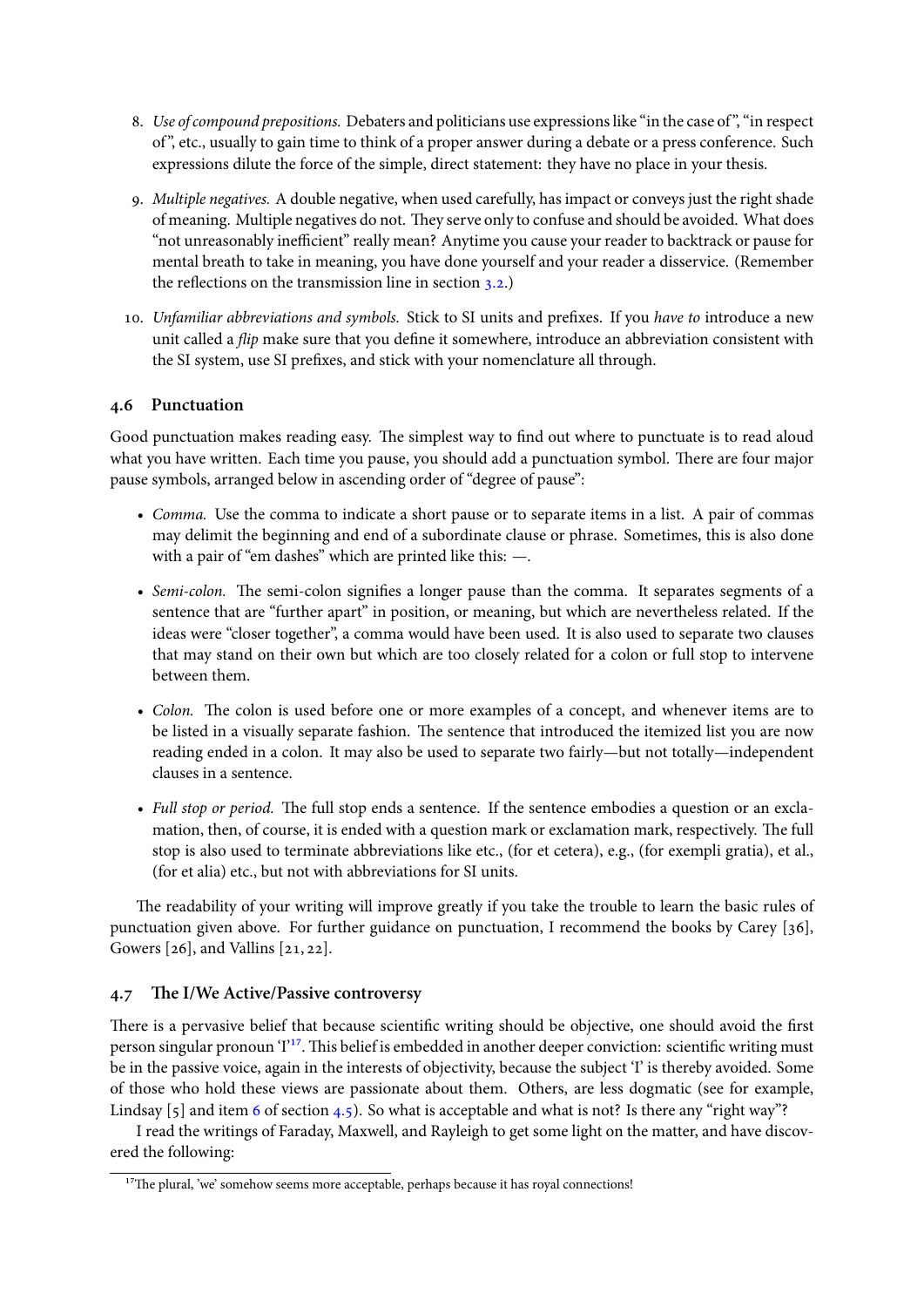- . *Use of compound prepositions.* Debaters and politicians use expressions like "in the case of ", "in respect of ", etc., usually to gain time to think of a proper answer during a debate or a press conference. Such expressions dilute the force of the simple, direct statement: they have no place in your thesis.
- . *Multiple negatives.* A double negative, when used carefully, has impact or conveys just the right shade of meaning. Multiple negatives do not. They serve only to confuse and should be avoided. What does "not unreasonably inefficient" really mean? Anytime you cause your reader to backtrack or pause for mental breath to take in meaning, you have done yourself and your reader a disservice. (Remember the reflections on the transmission line in section  $3.2$ .)
- . *Unfamiliar abbreviations and symbols.* Stick to SI units and prefixes. If you *have to* introduce a new unit called a *flip* make sure that you define it somewhere, introduce an abbreviation consistent with the SI system, use SI prefixes, and stick with your [nom](#page-9-0)enclature all through.

#### **. Punctuation**

<span id="page-19-0"></span>Good punctuation makes reading easy. The simplest way to find out where to punctuate is to read aloud what you have written. Each time you pause, you should add a punctuation symbol. There are four major pause symbols, arranged below in ascending order of "degree of pause":

- *Comma.* Use the comma to indicate a short pause or to separate items in a list. A pair of commas may delimit the beginning and end of a subordinate clause or phrase. Sometimes, this is also done with a pair of "em dashes" which are printed like this: —.
- *Semi-colon.* The semi-colon signifies a longer pause than the comma. It separates segments of a sentence that are "further apart" in position, or meaning, but which are nevertheless related. If the ideas were "closer together", a comma would have been used. It is also used to separate two clauses that may stand on their own but which are too closely related for a colon or full stop to intervene between them.
- *Colon*. The colon is used before one or more examples of a concept, and whenever items are to be listed in a visually separate fashion. The sentence that introduced the itemized list you are now reading ended in a colon. It may also be used to separate two fairly—but not totally—independent clauses in a sentence.
- *Full stop or period.* The full stop ends a sentence. If the sentence embodies a question or an exclamation, then, of course, it is ended with a question mark or exclamation mark, respectively. The full stop is also used to terminate abbreviations like etc., (for et cetera), e.g., (for exempli gratia), et al., (for et alia) etc., but not with abbreviations for SI units.

The readability of your writing will improve greatly if you take the trouble to learn the basic rules of punctuation given above. For further guidance on punctuation, I recommend the books by Carey [36], Gowers  $[26]$ , and Vallins  $[21, 22]$ .

#### 4.7 The I/We Active/Passive controversy

<span id="page-19-1"></span>There is a pervasive belief that because scientific writing should be objective, one should avoid the first person singular pronoun ' $I^{17}$ . This belief is embedded in another deeper conviction: scientific writing must be in the passive voice, again in the interests of objectivity, because the subject 'I' is thereby avoided. Some of those who hold these views are passionate about them. Others, are less dogmatic (see for example, Lindsay  $\lceil 5 \rceil$  and item 6 of section 4.5). So what is acceptable and what is not? Is there any "right way"?

I read the writings of F[ara](#page-19-2)day, Maxwell, and Rayleigh to get some light on the matter, and have discovered the following:

<span id="page-19-2"></span><sup>&</sup>lt;sup>17</sup>The plural, 'we' some[ho](#page-18-3)w seems mo[re ac](#page-18-0)ceptable, perhaps because it has royal connections!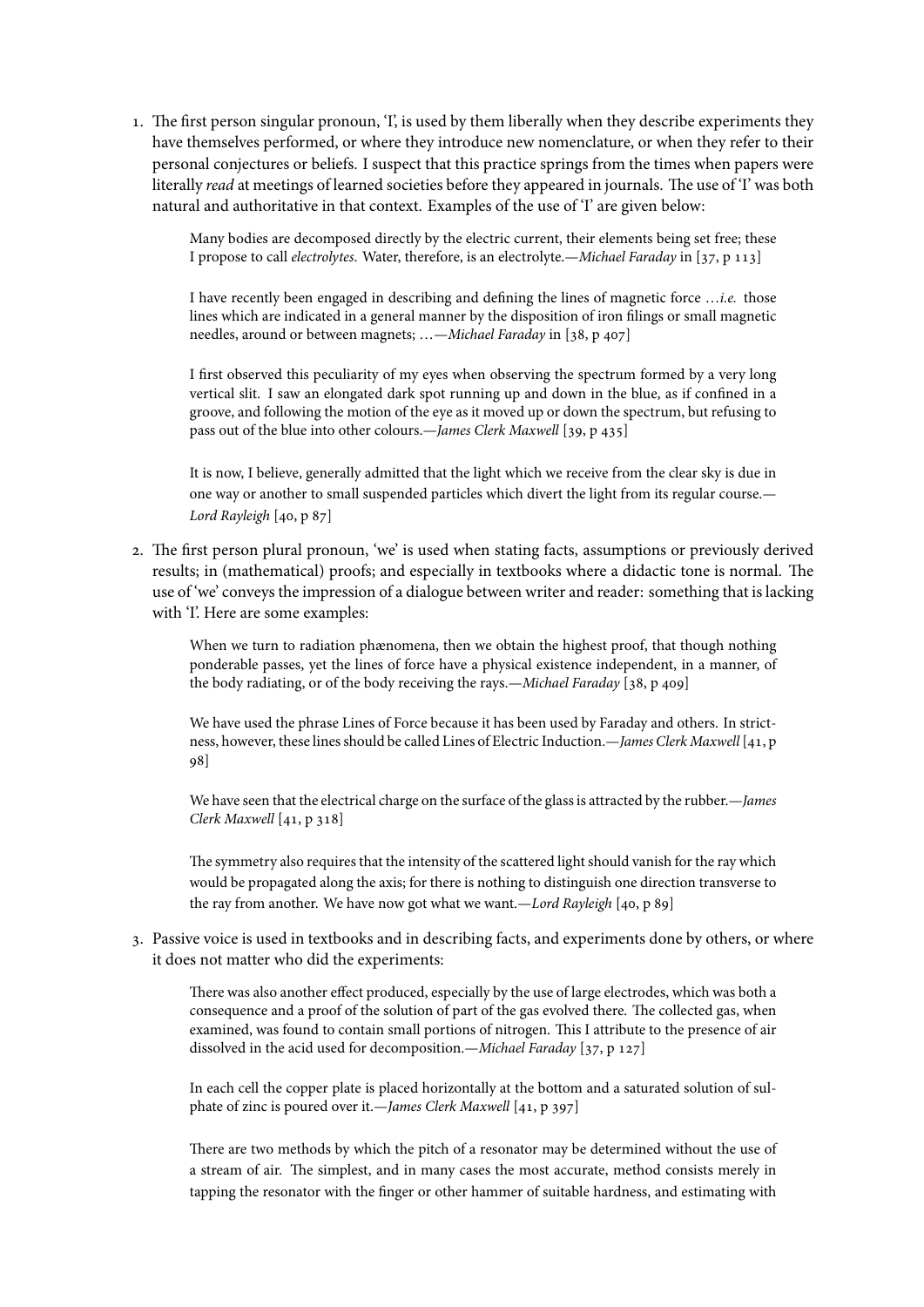1. The first person singular pronoun, 'I', is used by them liberally when they describe experiments they have themselves performed, or where they introduce new nomenclature, or when they refer to their personal conjectures or beliefs. I suspect that this practice springs from the times when papers were literally *read* at meetings of learned societies before they appeared in journals. The use of 'I' was both natural and authoritative in that context. Examples of the use of 'I' are given below:

Many bodies are decomposed directly by the electric current, their elements being set free; these I propose to call *electrolytes*. Water, therefore, is an electrolyte.—*Michael Faraday* in [37, p 113]

I have recently been engaged in describing and defining the lines of magnetic force …*i.e.* those lines which are indicated in a general manner by the disposition of iron filings or small magnetic needles, around or between magnets; ...—*Michael Faraday* in [38, p 407]

I first observed this peculiarity of my eyes when observing the spectrum formed by a very long vertical slit. I saw an elongated dark spot running up and down in the blue, as if confined in a groove, and following the motion of the eye as it moved up or down the spectrum, but refusing to pass out of the blue into other colours.—*James Clerk Maxwell* [39, p 435]

It is now, I believe, generally admitted that the light which we receive from the clear sky is due in one way or another to small suspended particles which divert the light from its regular course.— *Lord Rayleigh* [40, p 87]

2. The first person plural pronoun, 'we' is used when stating facts, assumptions or previously derived results; in (mathematical) proofs; and especially in textbooks where a didactic tone is normal. The use of 'we' conveys the impression of a dialogue between writer and reader: something that is lacking with 'I'. Here are some examples:

When we turn to radiation phænomena, then we obtain the highest proof, that though nothing ponderable passes, yet the lines of force have a physical existence independent, in a manner, of the body radiating, or of the body receiving the rays.—*Michael Faraday* [38, p 409]

We have used the phrase Lines of Force because it has been used by Faraday and others. In strictness, however, these lines should be called Lines of Electric Induction.—*James Clerk Maxwell* [41, p  $|98|$ 

We have seen that the electrical charge on the surface of the glass is attracted by the rubber.—*James Clerk Maxwell* [41, p 318]

The symmetry also requires that the intensity of the scattered light should vanish for the ray which would be propagated along the axis; for there is nothing to distinguish one direction transverse to the ray from another. We have now got what we want.—*Lord Rayleigh* [40, p 89]

. Passive voice is used in textbooks and in describing facts, and experiments done by others, or where it does not matter who did the experiments:

There was also another effect produced, especially by the use of large electrodes, which was both a consequence and a proof of the solution of part of the gas evolved there. The collected gas, when examined, was found to contain small portions of nitrogen. This I attribute to the presence of air dissolved in the acid used for decomposition.—*Michael Faraday* [37, p 127]

In each cell the copper plate is placed horizontally at the bottom and a saturated solution of sulphate of zinc is poured over it.—*James Clerk Maxwell* [41, p 397]

There are two methods by which the pitch of a resonator may be determined without the use of a stream of air. The simplest, and in many cases the most accurate, method consists merely in tapping the resonator with the finger or other hammer of suitable hardness, and estimating with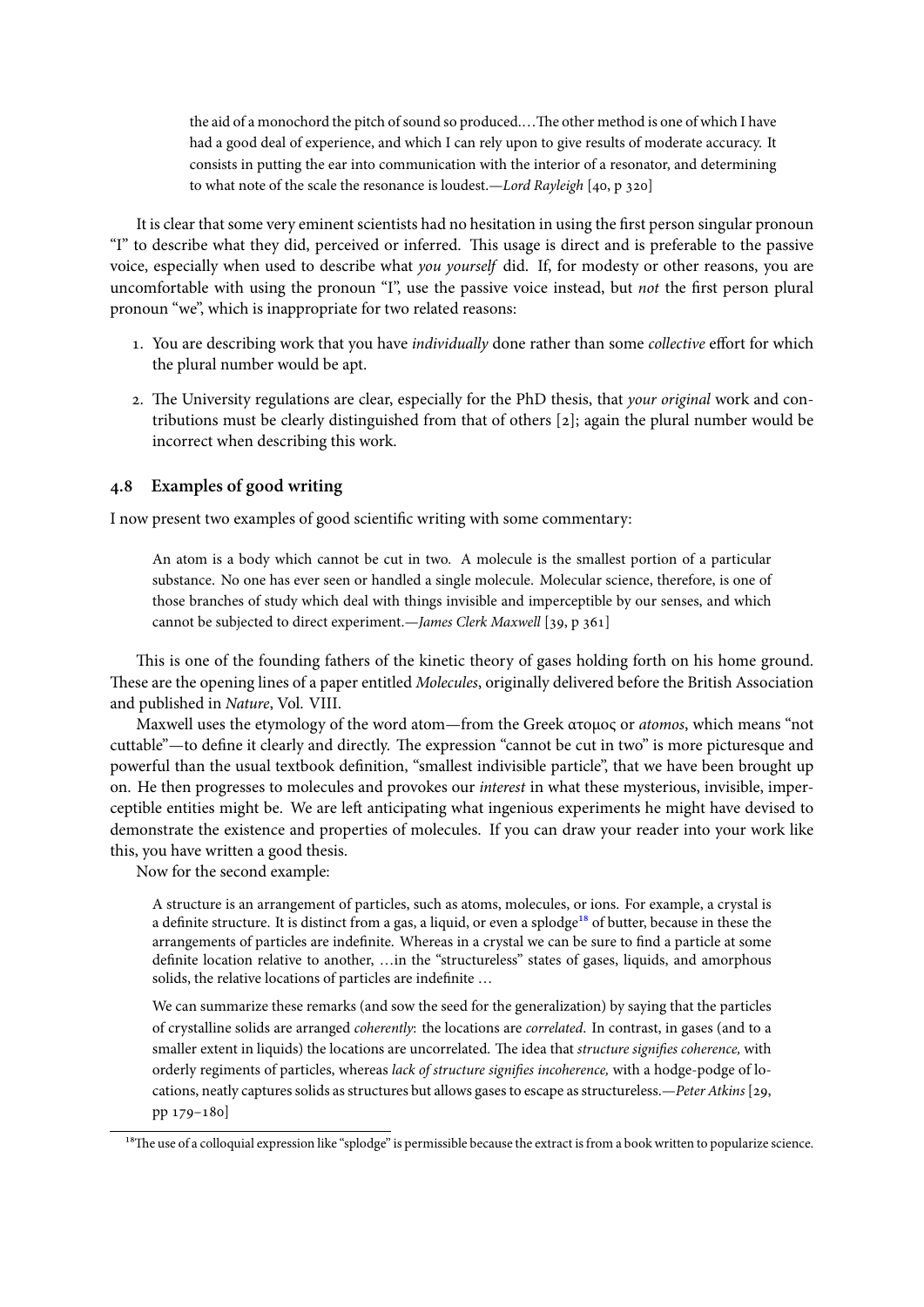the aid of a monochord the pitch of sound so produced....The other method is one of which I have had a good deal of experience, and which I can rely upon to give results of moderate accuracy. It consists in putting the ear into communication with the interior of a resonator, and determining to what note of the scale the resonance is loudest.—*Lord Rayleigh* [40, p 320]

It is clear that some very eminent scientists had no hesitation in using the first person singular pronoun "I" to describe what they did, perceived or inferred. This usage is direct and is preferable to the passive voice, especially when used to describe what *you yourself* did. If, for modesty or other reasons, you are uncomfortable with using the pronoun "I", use the passive voice instead, but *not* the first person plural pronoun "we", which is inappropriate for two related reasons:

- . You are describing work that you have *individually* done rather than some *collective* effort for which the plural number would be apt.
- 2. The University regulations are clear, especially for the PhD thesis, that *your original* work and contributions must be clearly distinguished from that of others [2]; again the plural number would be incorrect when describing this work.

#### **. Examples of good writing**

<span id="page-21-0"></span>I now present two examples of good scientific writing with some commentary:

An atom is a body which cannot be cut in two. A molecule is the smallest portion of a particular substance. No one has ever seen or handled a single molecule. Molecular science, therefore, is one of those branches of study which deal with things invisible and imperceptible by our senses, and which cannot be subjected to direct experiment.—*James Clerk Maxwell* [39, p 361]

This is one of the founding fathers of the kinetic theory of gases holding forth on his home ground. These are the opening lines of a paper entitled *Molecules*, originally delivered before the British Association and published in *Nature*, Vol. VIII.

Maxwell uses the etymology of the word atom—from the Greek ατομος or *atomos*, which means "not cuttable"—to define it clearly and directly. The expression "cannot be cut in two" is more picturesque and powerful than the usual textbook definition, "smallest indivisible particle", that we have been brought up on. He then progresses to molecules and provokes our *interest* in what these mysterious, invisible, imperceptible entities might be. We are left anticipating what ingenious experiments he might have devised to demonstrate the existence and properties of molecules. If you can draw your reader into your work like this, you have written a good thesis.

Now for the second example:

A structure is an arrangement of particles, such as atoms, molecules, or ions. For example, a crystal is a definite structure. It is distinct from a gas, a liquid, or even a splodge<sup>18</sup> of butter, because in these the arrangements of particles are indefinite. Whereas in a crystal we can be sure to find a particle at some definite location relative to another, …in the "structureless" states of gases, liquids, and amorphous solids, the relative locations of particles are indefinite …

We can summarize these remarks (and sow the seed for the generaliza[tio](#page-21-1)n) by saying that the particles of crystalline solids are arranged *coherently*: the locations are *correlated*. In contrast, in gases (and to a smaller extent in liquids) the locations are uncorrelated. The idea that *structure signifies coherence*, with orderly regiments of particles, whereas *lack of structure signifies incoherence,* with a hodge-podge of locations, neatly captures solids as structures but allows gases to escape as structureless.—*Peter Atkins* [, pp  $179 - 180$ 

<span id="page-21-1"></span><sup>&</sup>lt;sup>18</sup>The use of a colloquial expression like "splodge" is permissible because the extract is from a book written to popularize science.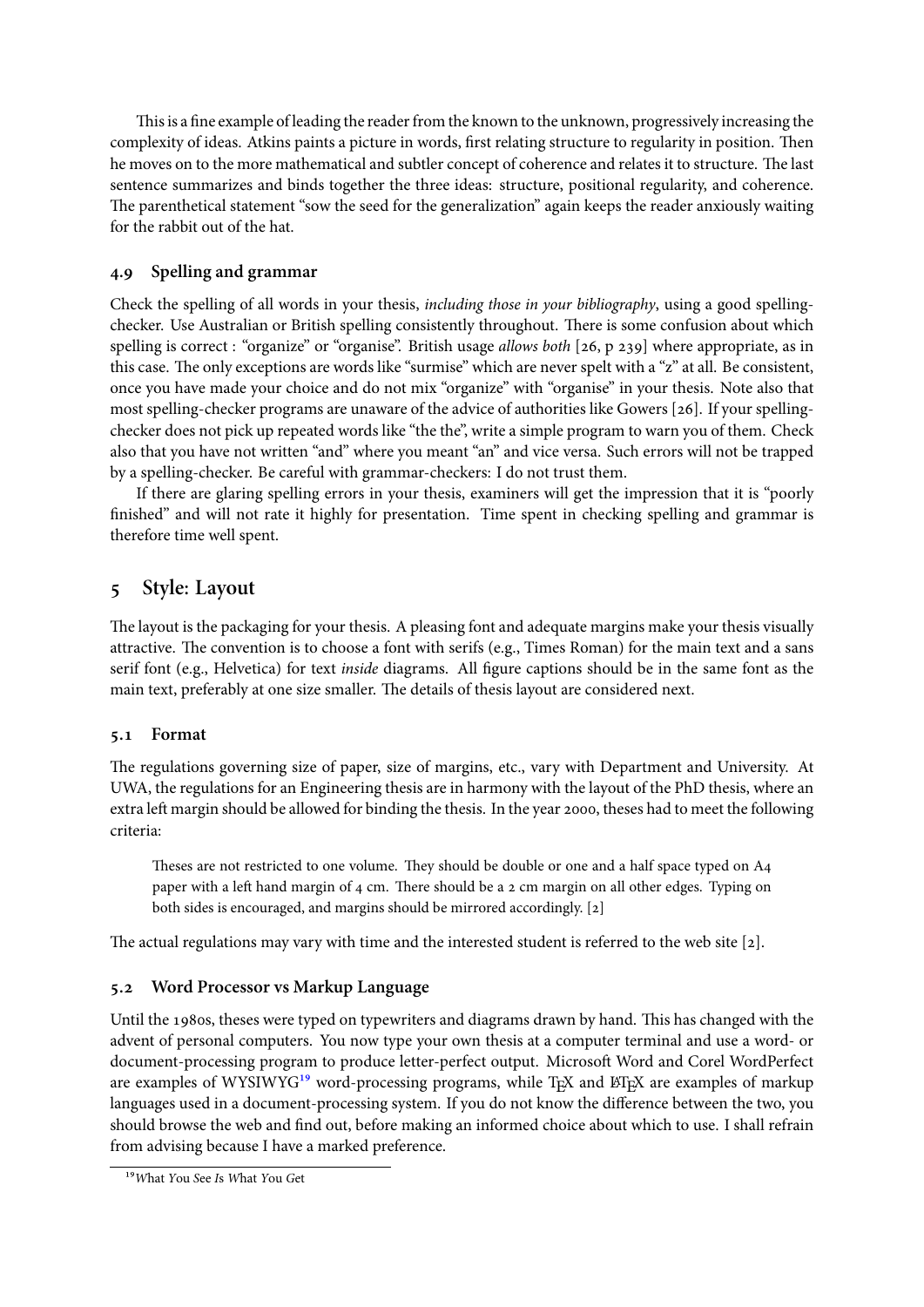This is a fine example of leading the reader from the known to the unknown, progressively increasing the complexity of ideas. Atkins paints a picture in words, first relating structure to regularity in position. Then he moves on to the more mathematical and subtler concept of coherence and relates it to structure. The last sentence summarizes and binds together the three ideas: structure, positional regularity, and coherence. The parenthetical statement "sow the seed for the generalization" again keeps the reader anxiously waiting for the rabbit out of the hat.

## **. Spelling and grammar**

<span id="page-22-0"></span>Check the spelling of all words in your thesis, *including those in your bibliography*, using a good spellingchecker. Use Australian or British spelling consistently throughout. There is some confusion about which spelling is correct : "organize" or "organise". British usage *allows both* [26, p 239] where appropriate, as in this case. The only exceptions are words like "surmise" which are never spelt with a "z" at all. Be consistent, once you have made your choice and do not mix "organize" with "organise" in your thesis. Note also that most spelling-checker programs are unaware of the advice of authorities like Gowers [26]. If your spellingchecker does not pick up repeated words like "the the", write a simple program to warn you of them. Check also that you have not written "and" where you meant "an" and vice versa. Such errors will not be trapped by a spelling-checker. Be careful with grammar-checkers: I do not trust them.

If there are glaring spelling errors in your thesis, examiners will get the impression that it is "poorly finished" and will not rate it highly for presentation. Time spent in checking spelling and grammar is therefore time well spent.

# **Style: Layout**

<span id="page-22-1"></span>The layout is the packaging for your thesis. A pleasing font and adequate margins make your thesis visually attractive. The convention is to choose a font with serifs (e.g., Times Roman) for the main text and a sans serif font (e.g., Helvetica) for text *inside* diagrams. All figure captions should be in the same font as the main text, preferably at one size smaller. The details of thesis layout are considered next.

## **. Format**

<span id="page-22-2"></span>The regulations governing size of paper, size of margins, etc., vary with Department and University. At UWA, the regulations for an Engineering thesis are in harmony with the layout of the PhD thesis, where an extra left margin should be allowed for binding the thesis. In the year 2000, theses had to meet the following criteria:

Theses are not restricted to one volume. They should be double or one and a half space typed on A4 paper with a left hand margin of  $4$  cm. There should be a  $2$  cm margin on all other edges. Typing on both sides is encouraged, and margins should be mirrored accordingly. [2]

The actual regulations may vary with time and the interested student is referred to the web site  $[2]$ .

## **. Word Processor vs Markup Language**

<span id="page-22-3"></span>Until the 1980s, theses were typed on typewriters and diagrams drawn by hand. This has changed with the advent of personal computers. You now type your own thesis at a computer terminal and use a word- or document-processing program to produce letter-perfect output. Microsoft Word and Corel WordPerfect are examples of WYSIWYG<sup>19</sup> word-processing programs, while T<sub>E</sub>X and  $\mathbb{F}$ <sub>EX</sub> are examples of markup languages used in a document-processing system. If you do not know the difference between the two, you should browse the web and find out, before making an informed choice about which to use. I shall refrain from advising because I hav[e a](#page-22-4) marked preference.

<span id="page-22-4"></span>¹⁹*W*hat *Y*ou *S*ee *I*s *W*hat *Y*ou *G*et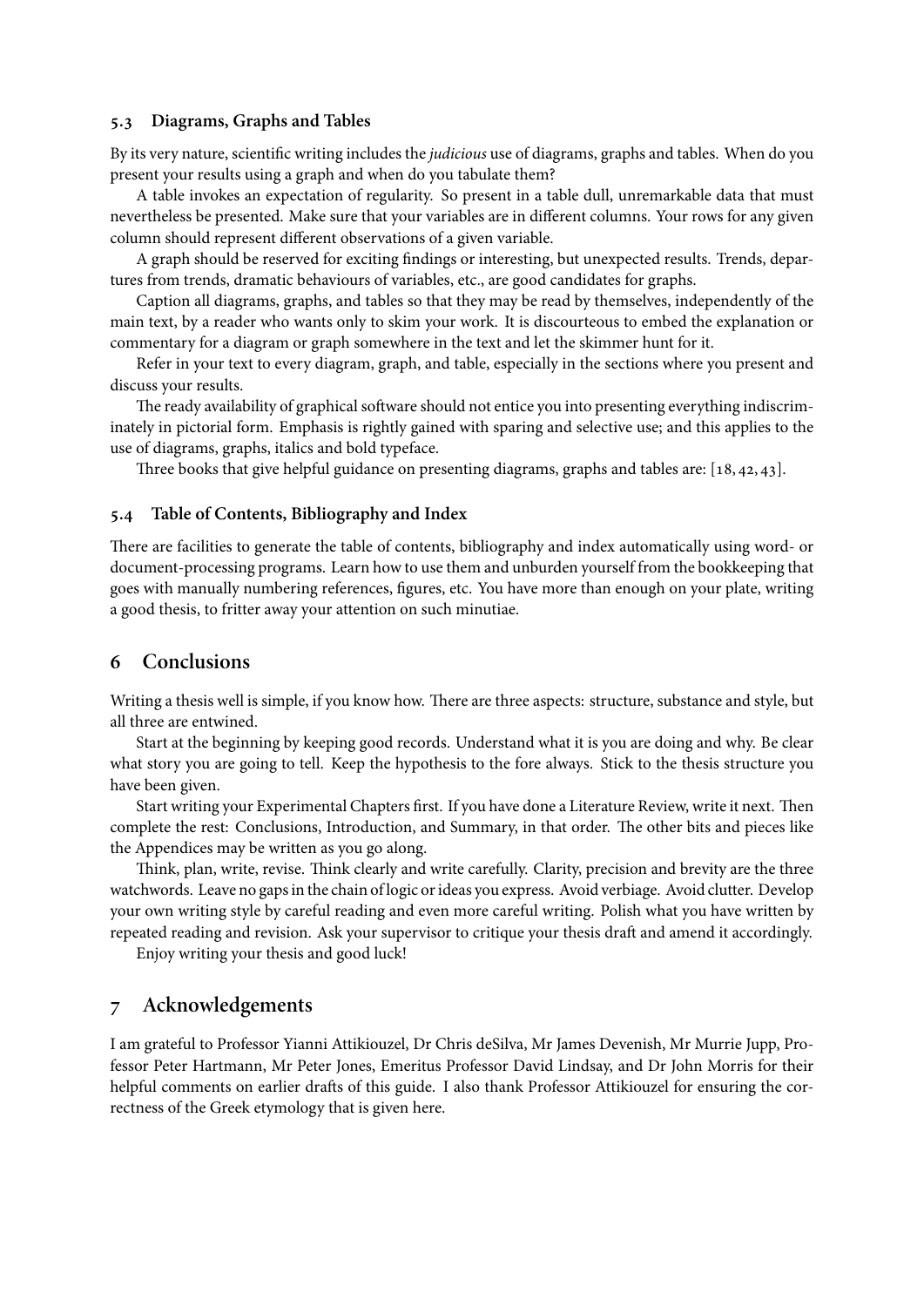#### <span id="page-23-0"></span>**. Diagrams, Graphs and Tables**

By its very nature, scientific writing includes the *judicious* use of diagrams, graphs and tables. When do you present your results using a graph and when do you tabulate them?

A table invokes an expectation of regularity. So present in a table dull, unremarkable data that must nevertheless be presented. Make sure that your variables are in different columns. Your rows for any given column should represent different observations of a given variable.

A graph should be reserved for exciting findings or interesting, but unexpected results. Trends, departures from trends, dramatic behaviours of variables, etc., are good candidates for graphs.

Caption all diagrams, graphs, and tables so that they may be read by themselves, independently of the main text, by a reader who wants only to skim your work. It is discourteous to embed the explanation or commentary for a diagram or graph somewhere in the text and let the skimmer hunt for it.

Refer in your text to every diagram, graph, and table, especially in the sections where you present and discuss your results.

The ready availability of graphical software should not entice you into presenting everything indiscriminately in pictorial form. Emphasis is rightly gained with sparing and selective use; and this applies to the use of diagrams, graphs, italics and bold typeface.

Three books that give helpful guidance on presenting diagrams, graphs and tables are:  $[18, 42, 43]$ .

#### <span id="page-23-1"></span>**. Table of Contents, Bibliography and Index**

There are facilities to generate the table of contents, bibliography and index automatically using word- or document-processing programs. Learn how to use them and unburden yourself from the bookkeeping that goes with manually numbering references, figures, etc. You have more than enough on your plate, writing a good thesis, to fritter away your attention on such minutiae.

## <span id="page-23-2"></span> **Conclusions**

Writing a thesis well is simple, if you know how. There are three aspects: structure, substance and style, but all three are entwined.

Start at the beginning by keeping good records. Understand what it is you are doing and why. Be clear what story you are going to tell. Keep the hypothesis to the fore always. Stick to the thesis structure you have been given.

Start writing your Experimental Chapters first. If you have done a Literature Review, write it next. Then complete the rest: Conclusions, Introduction, and Summary, in that order. The other bits and pieces like the Appendices may be written as you go along.

Think, plan, write, revise. Think clearly and write carefully. Clarity, precision and brevity are the three watchwords. Leave no gaps in the chain of logic or ideas you express. Avoid verbiage. Avoid clutter. Develop your own writing style by careful reading and even more careful writing. Polish what you have written by repeated reading and revision. Ask your supervisor to critique your thesis draft and amend it accordingly.

Enjoy writing your thesis and good luck!

## **Acknowledgements**

I am grateful to Professor Yianni Attikiouzel, Dr Chris deSilva, Mr James Devenish, Mr Murrie Jupp, Professor Peter Hartmann, Mr Peter Jones, Emeritus Professor David Lindsay, and Dr John Morris for their helpful comments on earlier drafts of this guide. I also thank Professor Attikiouzel for ensuring the correctness of the Greek etymology that is given here.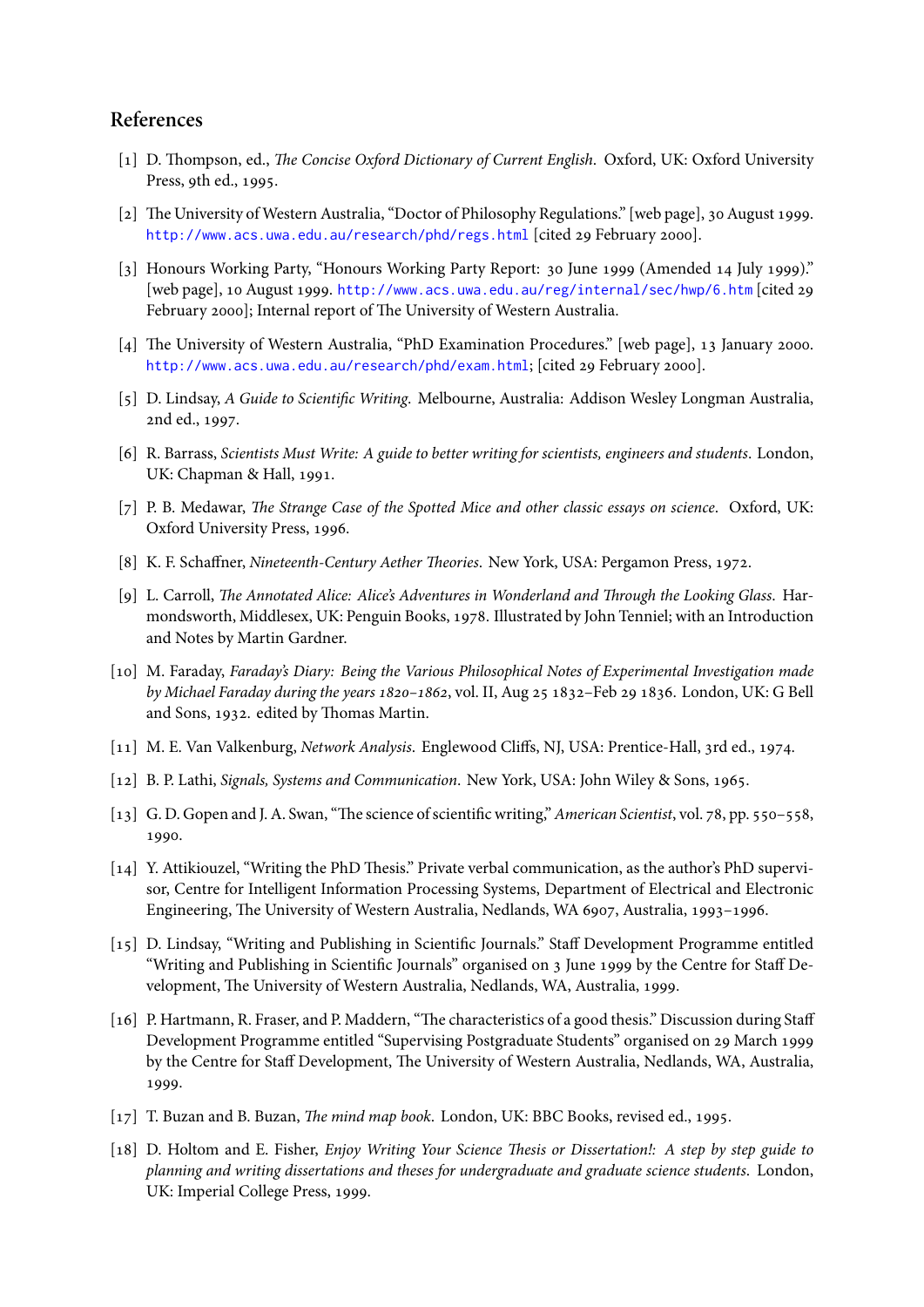# **References**

- [1] D. Thompson, ed., *The Concise Oxford Dictionary of Current English*. Oxford, UK: Oxford University Press, 9th ed., 1995.
- [2] The University of Western Australia, "Doctor of Philosophy Regulations." [web page], 30 August 1999. http://www.acs.uwa.edu.au/research/phd/regs.html [cited 29 February 2000].
- [3] Honours Working Party, "Honours Working Party Report: 30 June 1999 (Amended 14 July 1999)." [web page], 10 August 1999. http://www.acs.uwa.edu.au/reg/internal/sec/hwp/6.htm [cited 29 February 2000]; Internal report of The University of Western Australia.
- [4] The University of Western Australia, "PhD Examination Procedures." [web page], 13 January 2000. http://www.acs.uwa.edu.au/research/phd/exam.html; [cited 29 February 2000].
- [] D. Lindsay, *A Guide to Scientific Writing*. Melbourne, Australia: Addison Wesley Longman Australia, 2nd ed., 1997.
- [] R. Barrass, *[Scientists Must Write: A guide to better writing fo](http://www.acs.uwa.edu.au/research/phd/exam.html)r scientists, engineers and students*. London, UK: Chapman & Hall, 1991.
- [7] P. B. Medawar, *The Strange Case of the Spotted Mice and other classic essays on science*. Oxford, UK: Oxford University Press, 1996.
- [8] K. F. Schaffner, *Nineteenth-Century Aether Theories*. New York, USA: Pergamon Press, 1972.
- [9] L. Carroll, *The Annotated Alice: Alice's Adventures in Wonderland and Through the Looking Glass. Har*mondsworth, Middlesex, UK: Penguin Books, 1978. Illustrated by John Tenniel; with an Introduction and Notes by Martin Gardner.
- [] M. Faraday, *Faraday's Diary: Being the Various Philosophical Notes of Experimental Investigation made* by Michael Faraday during the years 1820-1862, vol. II, Aug 25 1832-Feb 29 1836. London, UK: G Bell and Sons, 1932. edited by Thomas Martin.
- [11] M. E. Van Valkenburg, *Network Analysis*. Englewood Cliffs, NJ, USA: Prentice-Hall, 3rd ed., 1974.
- [12] B. P. Lathi, *Signals, Systems and Communication*. New York, USA: John Wiley & Sons, 1965.
- [13] G. D. Gopen and J. A. Swan, "The science of scientific writing," *American Scientist*, vol. 78, pp. 550–558, 1990.
- $[14]$  Y. Attikiouzel, "Writing the PhD Thesis." Private verbal communication, as the author's PhD supervisor, Centre for Intelligent Information Processing Systems, Department of Electrical and Electronic Engineering, The University of Western Australia, Nedlands, WA 6907, Australia, 1993-1996.
- [] D. Lindsay, "Writing and Publishing in Scientific Journals." Staff Development Programme entitled "Writing and Publishing in Scientific Journals" organised on 3 June 1999 by the Centre for Staff Development, The University of Western Australia, Nedlands, WA, Australia, 1999.
- [16] P. Hartmann, R. Fraser, and P. Maddern, "The characteristics of a good thesis." Discussion during Staff Development Programme entitled "Supervising Postgraduate Students" organised on 29 March 1999 by the Centre for Staff Development, The University of Western Australia, Nedlands, WA, Australia, 1999.
- [17] T. Buzan and B. Buzan, *The mind map book*. London, UK: BBC Books, revised ed., 1995.
- [18] D. Holtom and E. Fisher, *Enjoy Writing Your Science Thesis or Dissertation!: A step by step guide to planning and writing dissertations and theses for undergraduate and graduate science students*. London, UK: Imperial College Press, 1999.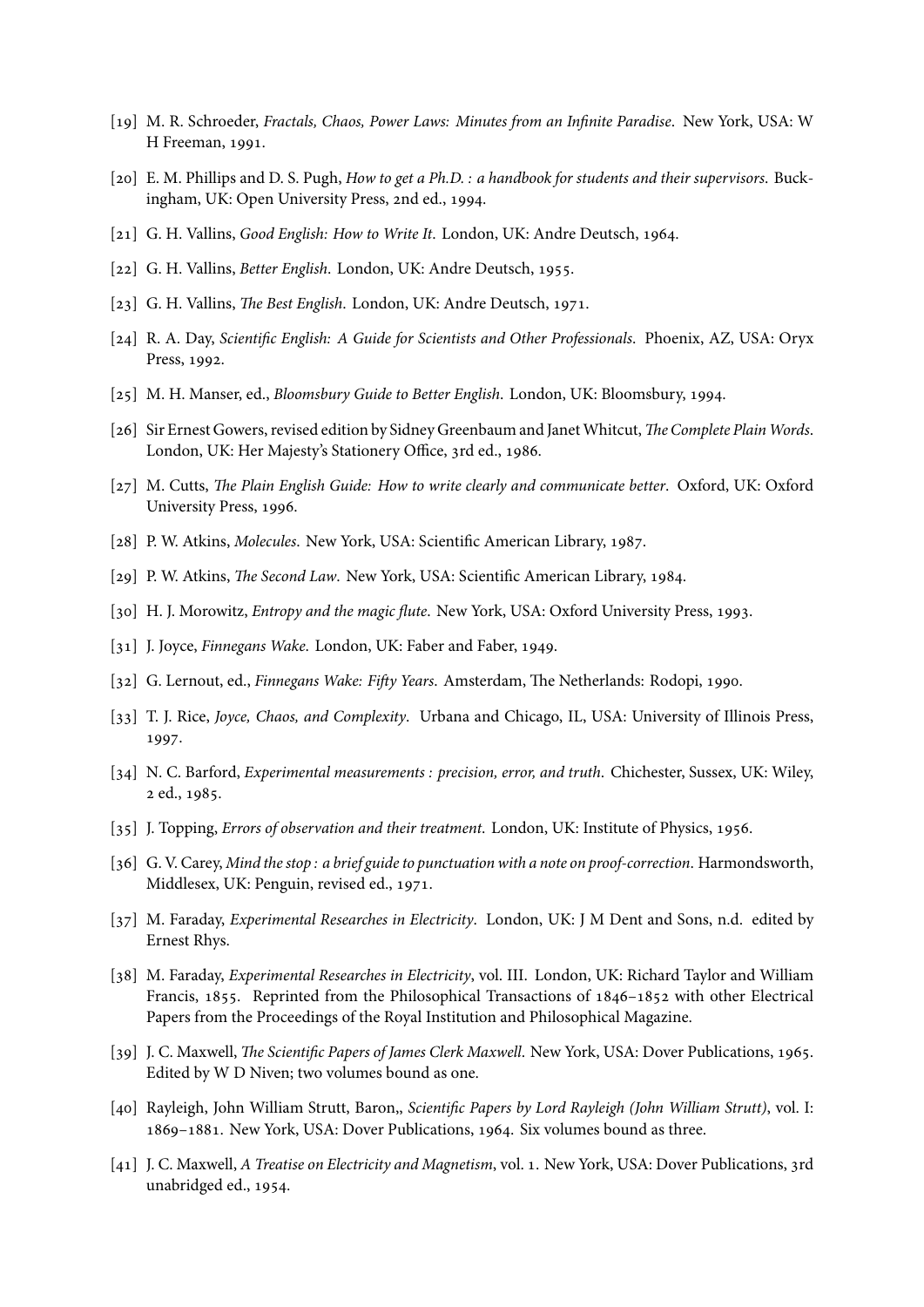- [] M. R. Schroeder, *Fractals, Chaos, Power Laws: Minutes from an Infinite Paradise*. New York, USA: W H Freeman, 1991.
- [20] E. M. Phillips and D. S. Pugh, *How to get a Ph.D. : a handbook for students and their supervisors*. Buckingham, UK: Open University Press, 2nd ed., 1994.
- [21] G. H. Vallins, *Good English: How to Write It*. London, UK: Andre Deutsch, 1964.
- [22] G. H. Vallins, *Better English*. London, UK: Andre Deutsch, 1955.
- [23] G. H. Vallins, *The Best English*. London, UK: Andre Deutsch, 1971.
- [] R. A. Day, *Scientific English: A Guide for Scientists and Other Professionals*. Phoenix, AZ, USA: Oryx Press, 1992.
- [25] M. H. Manser, ed., *Bloomsbury Guide to Better English*. London, UK: Bloomsbury, 1994.
- [26] Sir Ernest Gowers, revised edition by Sidney Greenbaum and Janet Whitcut, *The Complete Plain Words*. London, UK: Her Majesty's Stationery Office, 3rd ed., 1986.
- [27] M. Cutts, *The Plain English Guide: How to write clearly and communicate better*. Oxford, UK: Oxford University Press, 1996.
- [28] P. W. Atkins, *Molecules*. New York, USA: Scientific American Library, 1987.
- [29] P. W. Atkins, *The Second Law*. New York, USA: Scientific American Library, 1984.
- [30] H. J. Morowitz, *Entropy and the magic flute*. New York, USA: Oxford University Press, 1993.
- [31] J. Joyce, *Finnegans Wake*. London, UK: Faber and Faber, 1949.
- [32] G. Lernout, ed., *Finnegans Wake: Fifty Years*. Amsterdam, The Netherlands: Rodopi, 1990.
- [33] T. J. Rice, *Joyce, Chaos, and Complexity*. Urbana and Chicago, IL, USA: University of Illinois Press, 1997.
- [34] N. C. Barford, *Experimental measurements : precision, error, and truth*. Chichester, Sussex, UK: Wiley, 2 ed., 1985.
- [35] J. Topping, *Errors of observation and their treatment*. London, UK: Institute of Physics, 1956.
- [36] G. V. Carey, *Mind the stop : a brief guide to punctuation with a note on proof-correction*. Harmondsworth, Middlesex, UK: Penguin, revised ed., 1971.
- [37] M. Faraday, *Experimental Researches in Electricity*. London, UK: J M Dent and Sons, n.d. edited by Ernest Rhys.
- [38] M. Faraday, *Experimental Researches in Electricity*, vol. III. London, UK: Richard Taylor and William Francis,  $1855$ . Reprinted from the Philosophical Transactions of  $1846 - 1852$  with other Electrical Papers from the Proceedings of the Royal Institution and Philosophical Magazine.
- [39] J. C. Maxwell, *The Scientific Papers of James Clerk Maxwell*. New York, USA: Dover Publications, 1965. Edited by W D Niven; two volumes bound as one.
- [] Rayleigh, John William Strutt, Baron,, *Scientific Papers by Lord Rayleigh (John William Strutt)*, vol. I: 1869-1881. New York, USA: Dover Publications, 1964. Six volumes bound as three.
- [41] J. C. Maxwell, *A Treatise on Electricity and Magnetism*, vol. 1. New York, USA: Dover Publications, 3rd unabridged ed., 1954.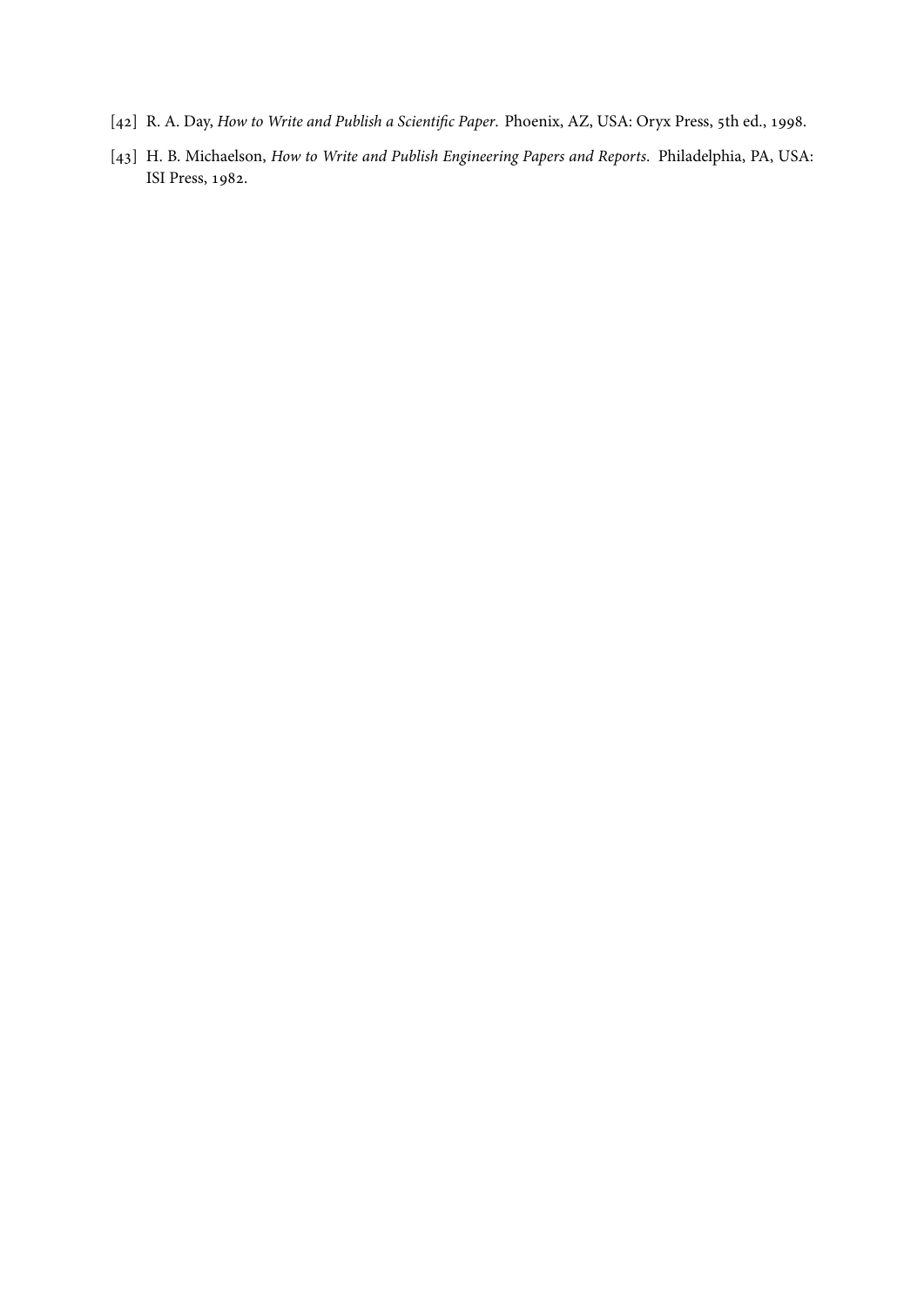- [42] R. A. Day, *How to Write and Publish a Scientific Paper*. Phoenix, AZ, USA: Oryx Press, 5th ed., 1998.
- [43] H. B. Michaelson, *How to Write and Publish Engineering Papers and Reports*. Philadelphia, PA, USA: ISI Press, 1982.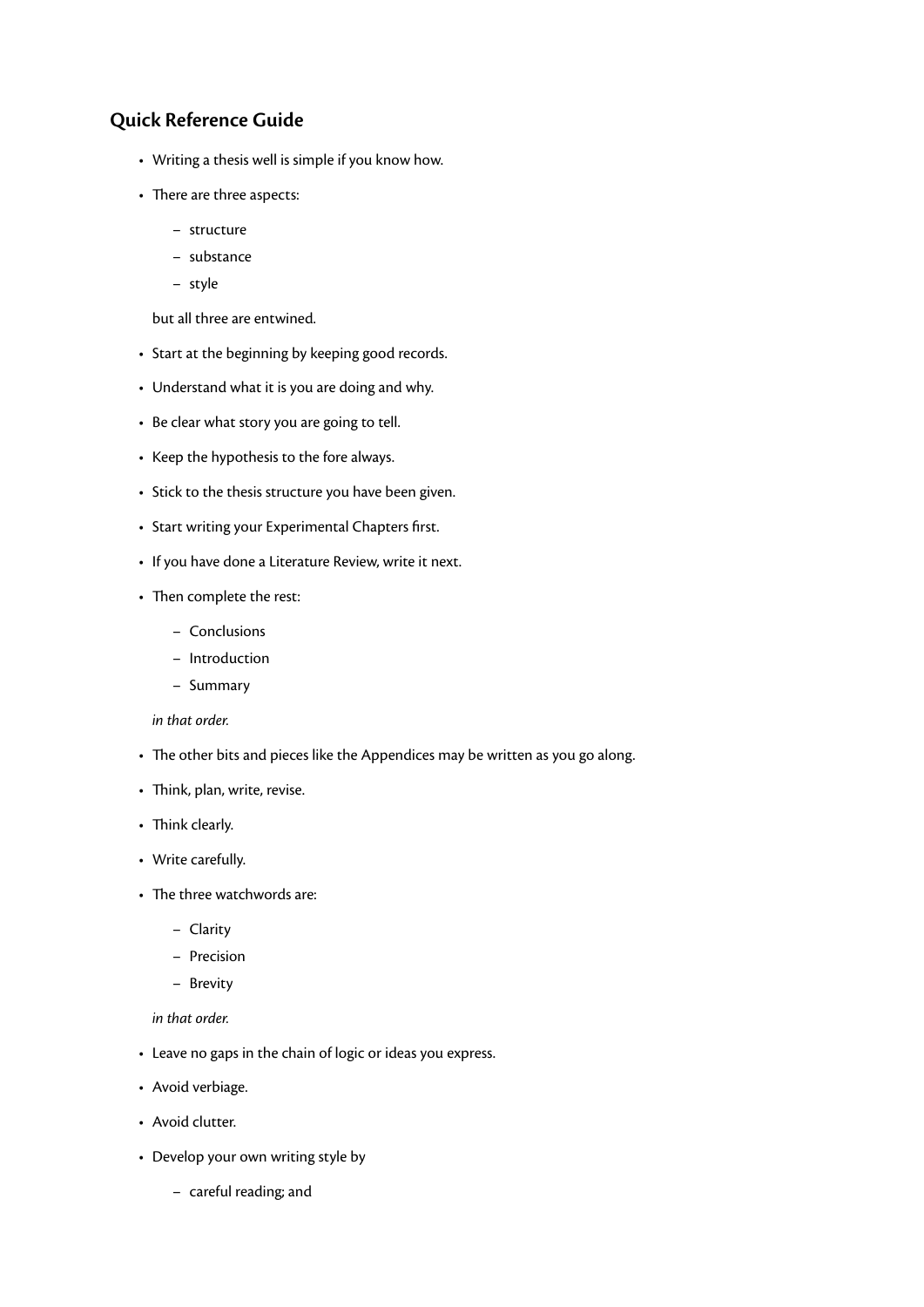# **Quick Reference Guide**

- Writing a thesis well is simple if you know how.
- There are three aspects:
	- **–** structure
	- **–** substance
	- **–** style

but all three are entwined.

- Start at the beginning by keeping good records.
- Understand what it is you are doing and why.
- Be clear what story you are going to tell.
- Keep the hypothesis to the fore always.
- Stick to the thesis structure you have been given.
- Start writing your Experimental Chapters first.
- If you have done a Literature Review, write it next.
- Then complete the rest:
	- **–** Conclusions
	- **–** Introduction
	- **–** Summary

*in that order.*

- The other bits and pieces like the Appendices may be written as you go along.
- Think, plan, write, revise.
- Think clearly.
- Write carefully.
- The three watchwords are:
	- **–** Clarity
	- **–** Precision
	- **–** Brevity
	- *in that order.*
- Leave no gaps in the chain of logic or ideas you express.
- Avoid verbiage.
- Avoid clutter.
- Develop your own writing style by
	- **–** careful reading; and